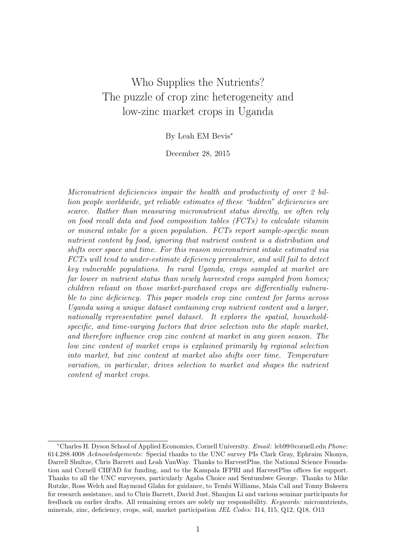## Who Supplies the Nutrients? The puzzle of crop zinc heterogeneity and low-zinc market crops in Uganda

By Leah EM Bevis<sup>∗</sup>

December 28, 2015

Micronutrient deficiencies impair the health and productivity of over 2 billion people worldwide, yet reliable estimates of these "hidden" deficiencies are scarce. Rather than measuring micronutrient status directly, we often rely on food recall data and food composition tables (FCTs) to calculate vitamin or mineral intake for a given population. FCTs report sample-specific mean nutrient content by food, ignoring that nutrient content is a distribution and shifts over space and time. For this reason micronutrient intake estimated via FCTs will tend to under-estimate deficiency prevalence, and will fail to detect key vulnerable populations. In rural Uganda, crops sampled at market are far lower in nutrient status than newly harvested crops sampled from homes; children reliant on those market-purchased crops are differentially vulnerable to zinc deficiency. This paper models crop zinc content for farms across Uganda using a unique dataset containing crop nutrient content and a larger, nationally representative panel dataset. It explores the spatial, householdspecific, and time-varying factors that drive selection into the staple market, and therefore influence crop zinc content at market in any given season. The low zinc content of market crops is explained primarily by regional selection into market, but zinc content at market also shifts over time. Temperature variation, in particular, drives selection to market and shapes the nutrient content of market crops.

<sup>∗</sup>Charles H. Dyson School of Applied Economics, Cornell University. Email: leb99@cornell.edu Phone: 614.288.4008 Acknowledgements: Special thanks to the UNC survey PIs Clark Gray, Ephraim Nkonya, Darrell Shultze, Chris Barrett and Leah VanWay. Thanks to HarvestPlus, the National Science Foundation and Cornell CIIFAD for funding, and to the Kampala IFPRI and HarvestPlus offices for support. Thanks to all the UNC surveyors, particularly Agaba Choice and Sentumbwe George. Thanks to Mike Rutzke, Ross Welch and Raymond Glahn for guidance, to Tembi Williams, Maia Call and Tonny Bukeera for research assistance, and to Chris Barrett, David Just, Shanjun Li and various seminar participants for feedback on earlier drafts. All remaining errors are solely my responsibility. Keywords: micronutrients, minerals, zinc, deficiency, crops, soil, market participation JEL Codes: I14, I15, Q12, Q18, O13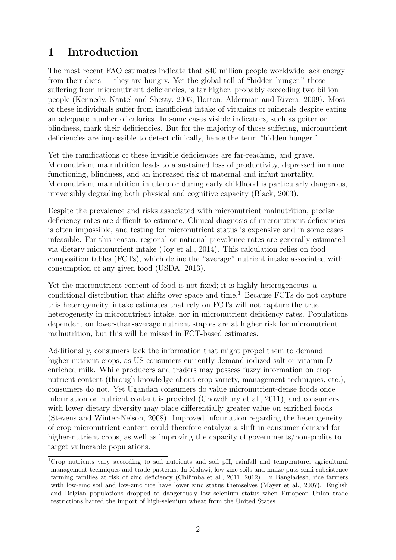## 1 Introduction

The most recent FAO estimates indicate that 840 million people worldwide lack energy from their diets — they are hungry. Yet the global toll of "hidden hunger," those suffering from micronutrient deficiencies, is far higher, probably exceeding two billion people (Kennedy, Nantel and Shetty, 2003; Horton, Alderman and Rivera, 2009). Most of these individuals suffer from insufficient intake of vitamins or minerals despite eating an adequate number of calories. In some cases visible indicators, such as goiter or blindness, mark their deficiencies. But for the majority of those suffering, micronutrient deficiencies are impossible to detect clinically, hence the term "hidden hunger."

Yet the ramifications of these invisible deficiencies are far-reaching, and grave. Micronutrient malnutrition leads to a sustained loss of productivity, depressed immune functioning, blindness, and an increased risk of maternal and infant mortality. Micronutrient malnutrition in utero or during early childhood is particularly dangerous, irreversibly degrading both physical and cognitive capacity (Black, 2003).

Despite the prevalence and risks associated with micronutrient malnutrition, precise deficiency rates are difficult to estimate. Clinical diagnosis of micronutrient deficiencies is often impossible, and testing for micronutrient status is expensive and in some cases infeasible. For this reason, regional or national prevalence rates are generally estimated via dietary micronutrient intake (Joy et al., 2014). This calculation relies on food composition tables (FCTs), which define the "average" nutrient intake associated with consumption of any given food (USDA, 2013).

Yet the micronutrient content of food is not fixed; it is highly heterogeneous, a conditional distribution that shifts over space and time.<sup>1</sup> Because  $\text{FCTs}$  do not capture this heterogeneity, intake estimates that rely on FCTs will not capture the true heterogeneity in micronutrient intake, nor in micronutrient deficiency rates. Populations dependent on lower-than-average nutrient staples are at higher risk for micronutrient malnutrition, but this will be missed in FCT-based estimates.

Additionally, consumers lack the information that might propel them to demand higher-nutrient crops, as US consumers currently demand iodized salt or vitamin D enriched milk. While producers and traders may possess fuzzy information on crop nutrient content (through knowledge about crop variety, management techniques, etc.), consumers do not. Yet Ugandan consumers do value micronutrient-dense foods once information on nutrient content is provided (Chowdhury et al., 2011), and consumers with lower dietary diversity may place differentially greater value on enriched foods (Stevens and Winter-Nelson, 2008). Improved information regarding the heterogeneity of crop micronutrient content could therefore catalyze a shift in consumer demand for higher-nutrient crops, as well as improving the capacity of governments/non-profits to target vulnerable populations.

<sup>&</sup>lt;sup>1</sup>Crop nutrients vary according to soil nutrients and soil pH, rainfall and temperature, agricultural management techniques and trade patterns. In Malawi, low-zinc soils and maize puts semi-subsistence farming families at risk of zinc deficiency (Chilimba et al., 2011, 2012). In Bangladesh, rice farmers with low-zinc soil and low-zinc rice have lower zinc status themselves (Mayer et al., 2007). English and Belgian populations dropped to dangerously low selenium status when European Union trade restrictions barred the import of high-selenium wheat from the United States.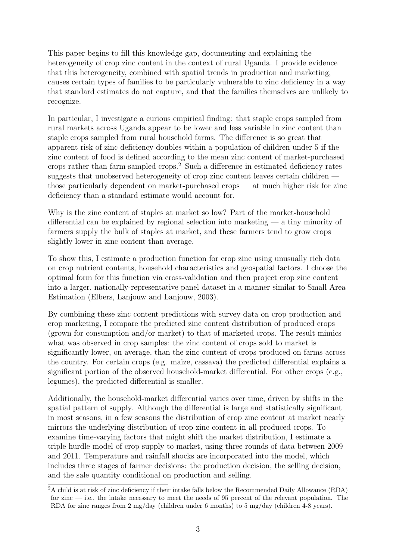This paper begins to fill this knowledge gap, documenting and explaining the heterogeneity of crop zinc content in the context of rural Uganda. I provide evidence that this heterogeneity, combined with spatial trends in production and marketing, causes certain types of families to be particularly vulnerable to zinc deficiency in a way that standard estimates do not capture, and that the families themselves are unlikely to recognize.

In particular, I investigate a curious empirical finding: that staple crops sampled from rural markets across Uganda appear to be lower and less variable in zinc content than staple crops sampled from rural household farms. The difference is so great that apparent risk of zinc deficiency doubles within a population of children under 5 if the zinc content of food is defined according to the mean zinc content of market-purchased crops rather than farm-sampled crops.<sup>2</sup> Such a difference in estimated deficiency rates suggests that unobserved heterogeneity of crop zinc content leaves certain children those particularly dependent on market-purchased crops — at much higher risk for zinc deficiency than a standard estimate would account for.

Why is the zinc content of staples at market so low? Part of the market-household differential can be explained by regional selection into marketing  $-$  a tiny minority of farmers supply the bulk of staples at market, and these farmers tend to grow crops slightly lower in zinc content than average.

To show this, I estimate a production function for crop zinc using unusually rich data on crop nutrient contents, household characteristics and geospatial factors. I choose the optimal form for this function via cross-validation and then project crop zinc content into a larger, nationally-representative panel dataset in a manner similar to Small Area Estimation (Elbers, Lanjouw and Lanjouw, 2003).

By combining these zinc content predictions with survey data on crop production and crop marketing, I compare the predicted zinc content distribution of produced crops (grown for consumption and/or market) to that of marketed crops. The result mimics what was observed in crop samples: the zinc content of crops sold to market is significantly lower, on average, than the zinc content of crops produced on farms across the country. For certain crops (e.g. maize, cassava) the predicted differential explains a significant portion of the observed household-market differential. For other crops (e.g., legumes), the predicted differential is smaller.

Additionally, the household-market differential varies over time, driven by shifts in the spatial pattern of supply. Although the differential is large and statistically significant in most seasons, in a few seasons the distribution of crop zinc content at market nearly mirrors the underlying distribution of crop zinc content in all produced crops. To examine time-varying factors that might shift the market distribution, I estimate a triple hurdle model of crop supply to market, using three rounds of data between 2009 and 2011. Temperature and rainfall shocks are incorporated into the model, which includes three stages of farmer decisions: the production decision, the selling decision, and the sale quantity conditional on production and selling.

<sup>2</sup>A child is at risk of zinc deficiency if their intake falls below the Recommended Daily Allowance (RDA) for zinc — i.e., the intake necessary to meet the needs of 95 percent of the relevant population. The RDA for zinc ranges from 2 mg/day (children under 6 months) to 5 mg/day (children 4-8 years).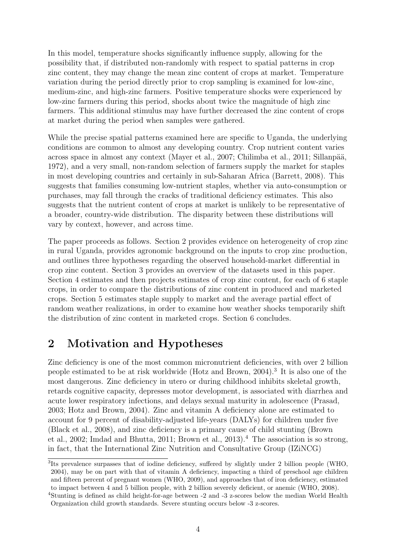In this model, temperature shocks significantly influence supply, allowing for the possibility that, if distributed non-randomly with respect to spatial patterns in crop zinc content, they may change the mean zinc content of crops at market. Temperature variation during the period directly prior to crop sampling is examined for low-zinc, medium-zinc, and high-zinc farmers. Positive temperature shocks were experienced by low-zinc farmers during this period, shocks about twice the magnitude of high zinc farmers. This additional stimulus may have further decreased the zinc content of crops at market during the period when samples were gathered.

While the precise spatial patterns examined here are specific to Uganda, the underlying conditions are common to almost any developing country. Crop nutrient content varies across space in almost any context (Mayer et al., 2007; Chilimba et al., 2011; Sillanpää, 1972), and a very small, non-random selection of farmers supply the market for staples in most developing countries and certainly in sub-Saharan Africa (Barrett, 2008). This suggests that families consuming low-nutrient staples, whether via auto-consumption or purchases, may fall through the cracks of traditional deficiency estimates. This also suggests that the nutrient content of crops at market is unlikely to be representative of a broader, country-wide distribution. The disparity between these distributions will vary by context, however, and across time.

The paper proceeds as follows. Section 2 provides evidence on heterogeneity of crop zinc in rural Uganda, provides agronomic background on the inputs to crop zinc production, and outlines three hypotheses regarding the observed household-market differential in crop zinc content. Section 3 provides an overview of the datasets used in this paper. Section 4 estimates and then projects estimates of crop zinc content, for each of 6 staple crops, in order to compare the distributions of zinc content in produced and marketed crops. Section 5 estimates staple supply to market and the average partial effect of random weather realizations, in order to examine how weather shocks temporarily shift the distribution of zinc content in marketed crops. Section 6 concludes.

### 2 Motivation and Hypotheses

Zinc deficiency is one of the most common micronutrient deficiencies, with over 2 billion people estimated to be at risk worldwide (Hotz and Brown, 2004).<sup>3</sup> It is also one of the most dangerous. Zinc deficiency in utero or during childhood inhibits skeletal growth, retards cognitive capacity, depresses motor development, is associated with diarrhea and acute lower respiratory infections, and delays sexual maturity in adolescence (Prasad, 2003; Hotz and Brown, 2004). Zinc and vitamin A deficiency alone are estimated to account for 9 percent of disability-adjusted life-years (DALYs) for children under five (Black et al., 2008), and zinc deficiency is a primary cause of child stunting (Brown et al., 2002; Imdad and Bhutta, 2011; Brown et al., 2013).<sup>4</sup> The association is so strong, in fact, that the International Zinc Nutrition and Consultative Group (IZiNCG)

<sup>3</sup>Its prevalence surpasses that of iodine deficiency, suffered by slightly under 2 billion people (WHO, 2004), may be on part with that of vitamin A deficiency, impacting a third of preschool age children and fifteen percent of pregnant women (WHO, 2009), and approaches that of iron deficiency, estimated to impact between 4 and 5 billion people, with 2 billion severely deficient, or anemic (WHO, 2008). <sup>4</sup>Stunting is defined as child height-for-age between -2 and -3 z-scores below the median World Health

Organization child growth standards. Severe stunting occurs below -3 z-scores.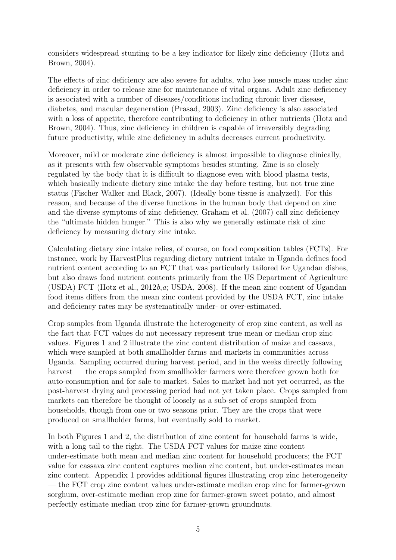considers widespread stunting to be a key indicator for likely zinc deficiency (Hotz and Brown, 2004).

The effects of zinc deficiency are also severe for adults, who lose muscle mass under zinc deficiency in order to release zinc for maintenance of vital organs. Adult zinc deficiency is associated with a number of diseases/conditions including chronic liver disease, diabetes, and macular degeneration (Prasad, 2003). Zinc deficiency is also associated with a loss of appetite, therefore contributing to deficiency in other nutrients (Hotz and Brown, 2004). Thus, zinc deficiency in children is capable of irreversibly degrading future productivity, while zinc deficiency in adults decreases current productivity.

Moreover, mild or moderate zinc deficiency is almost impossible to diagnose clinically, as it presents with few observable symptoms besides stunting. Zinc is so closely regulated by the body that it is difficult to diagnose even with blood plasma tests, which basically indicate dietary zinc intake the day before testing, but not true zinc status (Fischer Walker and Black, 2007). (Ideally bone tissue is analyzed). For this reason, and because of the diverse functions in the human body that depend on zinc and the diverse symptoms of zinc deficiency, Graham et al. (2007) call zinc deficiency the "ultimate hidden hunger." This is also why we generally estimate risk of zinc deficiency by measuring dietary zinc intake.

Calculating dietary zinc intake relies, of course, on food composition tables (FCTs). For instance, work by HarvestPlus regarding dietary nutrient intake in Uganda defines food nutrient content according to an FCT that was particularly tailored for Ugandan dishes, but also draws food nutrient contents primarily from the US Department of Agriculture (USDA) FCT (Hotz et al.,  $2012b, a$ ; USDA, 2008). If the mean zinc content of Ugandan food items differs from the mean zinc content provided by the USDA FCT, zinc intake and deficiency rates may be systematically under- or over-estimated.

Crop samples from Uganda illustrate the heterogeneity of crop zinc content, as well as the fact that FCT values do not necessary represent true mean or median crop zinc values. Figures 1 and 2 illustrate the zinc content distribution of maize and cassava, which were sampled at both smallholder farms and markets in communities across Uganda. Sampling occurred during harvest period, and in the weeks directly following harvest — the crops sampled from smallholder farmers were therefore grown both for auto-consumption and for sale to market. Sales to market had not yet occurred, as the post-harvest drying and processing period had not yet taken place. Crops sampled from markets can therefore be thought of loosely as a sub-set of crops sampled from households, though from one or two seasons prior. They are the crops that were produced on smallholder farms, but eventually sold to market.

In both Figures 1 and 2, the distribution of zinc content for household farms is wide, with a long tail to the right. The USDA FCT values for maize zinc content under-estimate both mean and median zinc content for household producers; the FCT value for cassava zinc content captures median zinc content, but under-estimates mean zinc content. Appendix 1 provides additional figures illustrating crop zinc heterogeneity — the FCT crop zinc content values under-estimate median crop zinc for farmer-grown sorghum, over-estimate median crop zinc for farmer-grown sweet potato, and almost perfectly estimate median crop zinc for farmer-grown groundnuts.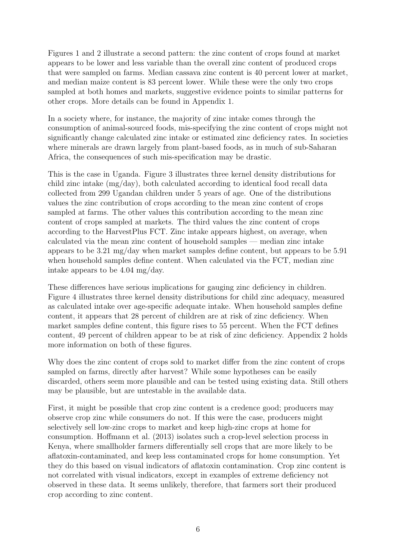Figures 1 and 2 illustrate a second pattern: the zinc content of crops found at market appears to be lower and less variable than the overall zinc content of produced crops that were sampled on farms. Median cassava zinc content is 40 percent lower at market, and median maize content is 83 percent lower. While these were the only two crops sampled at both homes and markets, suggestive evidence points to similar patterns for other crops. More details can be found in Appendix 1.

In a society where, for instance, the majority of zinc intake comes through the consumption of animal-sourced foods, mis-specifying the zinc content of crops might not significantly change calculated zinc intake or estimated zinc deficiency rates. In societies where minerals are drawn largely from plant-based foods, as in much of sub-Saharan Africa, the consequences of such mis-specification may be drastic.

This is the case in Uganda. Figure 3 illustrates three kernel density distributions for child zinc intake (mg/day), both calculated according to identical food recall data collected from 299 Ugandan children under 5 years of age. One of the distributions values the zinc contribution of crops according to the mean zinc content of crops sampled at farms. The other values this contribution according to the mean zinc content of crops sampled at markets. The third values the zinc content of crops according to the HarvestPlus FCT. Zinc intake appears highest, on average, when calculated via the mean zinc content of household samples — median zinc intake appears to be 3.21 mg/day when market samples define content, but appears to be 5.91 when household samples define content. When calculated via the FCT, median zinc intake appears to be 4.04 mg/day.

These differences have serious implications for gauging zinc deficiency in children. Figure 4 illustrates three kernel density distributions for child zinc adequacy, measured as calculated intake over age-specific adequate intake. When household samples define content, it appears that 28 percent of children are at risk of zinc deficiency. When market samples define content, this figure rises to 55 percent. When the FCT defines content, 49 percent of children appear to be at risk of zinc deficiency. Appendix 2 holds more information on both of these figures.

Why does the zinc content of crops sold to market differ from the zinc content of crops sampled on farms, directly after harvest? While some hypotheses can be easily discarded, others seem more plausible and can be tested using existing data. Still others may be plausible, but are untestable in the available data.

First, it might be possible that crop zinc content is a credence good; producers may observe crop zinc while consumers do not. If this were the case, producers might selectively sell low-zinc crops to market and keep high-zinc crops at home for consumption. Hoffmann et al. (2013) isolates such a crop-level selection process in Kenya, where smallholder farmers differentially sell crops that are more likely to be aflatoxin-contaminated, and keep less contaminated crops for home consumption. Yet they do this based on visual indicators of aflatoxin contamination. Crop zinc content is not correlated with visual indicators, except in examples of extreme deficiency not observed in these data. It seems unlikely, therefore, that farmers sort their produced crop according to zinc content.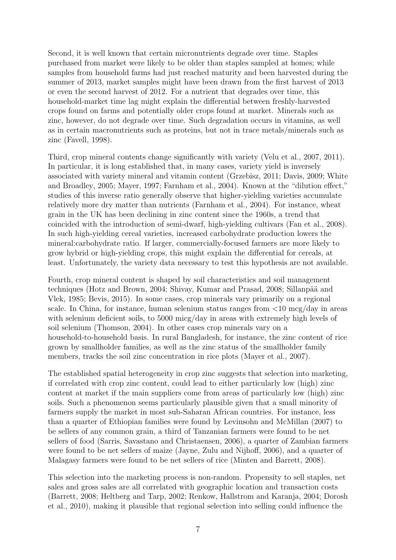Second, it is well known that certain micronutrients degrade over time. Staples purchased from market were likely to be older than staples sampled at homes; while samples from household farms had just reached maturity and been harvested during the summer of 2013, market samples might have been drawn from the first harvest of 2013 or even the second harvest of 2012. For a nutrient that degrades over time, this household-market time lag might explain the differential between freshly-harvested crops found on farms and potentially older crops found at market. Minerals such as zinc, however, do not degrade over time. Such degradation occurs in vitamins, as well as in certain macronutrients such as proteins, but not in trace metals/minerals such as zinc (Favell, 1998).

Third, crop mineral contents change significantly with variety (Velu et al., 2007, 2011). In particular, it is long established that, in many cases, variety yield is inversely associated with variety mineral and vitamin content (Grzebisz, 2011; Davis, 2009; White and Broadley, 2005; Mayer, 1997; Farnham et al., 2004). Known at the "dilution effect," studies of this inverse ratio generally observe that higher-yielding varieties accumulate relatively more dry matter than nutrients (Farnham et al., 2004). For instance, wheat grain in the UK has been declining in zinc content since the 1960s, a trend that coincided with the introduction of semi-dwarf, high-yielding cultivars (Fan et al., 2008). In such high-yielding cereal varieties, increased carbohydrate production lowers the mineral:carbohydrate ratio. If larger, commercially-focused farmers are more likely to grow hybrid or high-yielding crops, this might explain the differential for cereals, at least. Unfortunately, the variety data necessary to test this hypothesis are not available.

Fourth, crop mineral content is shaped by soil characteristics and soil management techniques (Hotz and Brown, 2004; Shivay, Kumar and Prasad, 2008; Sillanpää and Vlek, 1985; Bevis, 2015). In some cases, crop minerals vary primarily on a regional scale. In China, for instance, human selenium status ranges from <10 mcg/day in areas with selenium deficient soils, to 5000 micg/day in areas with extremely high levels of soil selenium (Thomson, 2004). In other cases crop minerals vary on a household-to-household basis. In rural Bangladesh, for instance, the zinc content of rice grown by smallholder families, as well as the zinc status of the smallholder family members, tracks the soil zinc concentration in rice plots (Mayer et al., 2007).

The established spatial heterogeneity in crop zinc suggests that selection into marketing, if correlated with crop zinc content, could lead to either particularly low (high) zinc content at market if the main suppliers come from areas of particularly low (high) zinc soils. Such a phenomenon seems particularly plausible given that a small minority of farmers supply the market in most sub-Saharan African countries. For instance, less than a quarter of Ethiopian families were found by Levinsohn and McMillan (2007) to be sellers of any common grain, a third of Tanzanian farmers were found to be net sellers of food (Sarris, Savastano and Christaensen, 2006), a quarter of Zambian farmers were found to be net sellers of maize (Jayne, Zulu and Nijhoff, 2006), and a quarter of Malagasy farmers were found to be net sellers of rice (Minten and Barrett, 2008).

This selection into the marketing process is non-random. Propensity to sell staples, net sales and gross sales are all correlated with geographic location and transaction costs (Barrett, 2008; Heltberg and Tarp, 2002; Renkow, Hallstrom and Karanja, 2004; Dorosh et al., 2010), making it plausible that regional selection into selling could influence the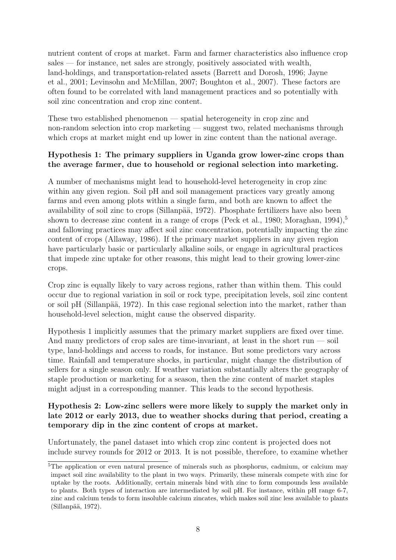nutrient content of crops at market. Farm and farmer characteristics also influence crop sales — for instance, net sales are strongly, positively associated with wealth, land-holdings, and transportation-related assets (Barrett and Dorosh, 1996; Jayne et al., 2001; Levinsohn and McMillan, 2007; Boughton et al., 2007). These factors are often found to be correlated with land management practices and so potentially with soil zinc concentration and crop zinc content.

These two established phenomenon — spatial heterogeneity in crop zinc and non-random selection into crop marketing — suggest two, related mechanisms through which crops at market might end up lower in zinc content than the national average.

#### Hypothesis 1: The primary suppliers in Uganda grow lower-zinc crops than the average farmer, due to household or regional selection into marketing.

A number of mechanisms might lead to household-level heterogeneity in crop zinc within any given region. Soil pH and soil management practices vary greatly among farms and even among plots within a single farm, and both are known to affect the availability of soil zinc to crops (Sillanpää, 1972). Phosphate fertilizers have also been shown to decrease zinc content in a range of crops (Peck et al., 1980; Moraghan, 1994),<sup>5</sup> and fallowing practices may affect soil zinc concentration, potentially impacting the zinc content of crops (Allaway, 1986). If the primary market suppliers in any given region have particularly basic or particularly alkaline soils, or engage in agricultural practices that impede zinc uptake for other reasons, this might lead to their growing lower-zinc crops.

Crop zinc is equally likely to vary across regions, rather than within them. This could occur due to regional variation in soil or rock type, precipitation levels, soil zinc content or soil pH (Sillanpää, 1972). In this case regional selection into the market, rather than household-level selection, might cause the observed disparity.

Hypothesis 1 implicitly assumes that the primary market suppliers are fixed over time. And many predictors of crop sales are time-invariant, at least in the short run — soil type, land-holdings and access to roads, for instance. But some predictors vary across time. Rainfall and temperature shocks, in particular, might change the distribution of sellers for a single season only. If weather variation substantially alters the geography of staple production or marketing for a season, then the zinc content of market staples might adjust in a corresponding manner. This leads to the second hypothesis.

#### Hypothesis 2: Low-zinc sellers were more likely to supply the market only in late 2012 or early 2013, due to weather shocks during that period, creating a temporary dip in the zinc content of crops at market.

Unfortunately, the panel dataset into which crop zinc content is projected does not include survey rounds for 2012 or 2013. It is not possible, therefore, to examine whether

<sup>&</sup>lt;sup>5</sup>The application or even natural presence of minerals such as phosphorus, cadmium, or calcium may impact soil zinc availability to the plant in two ways. Primarily, these minerals compete with zinc for uptake by the roots. Additionally, certain minerals bind with zinc to form compounds less available to plants. Both types of interaction are intermediated by soil pH. For instance, within pH range 6-7, zinc and calcium tends to form insoluble calcium zincates, which makes soil zinc less available to plants (Sillanpää, 1972).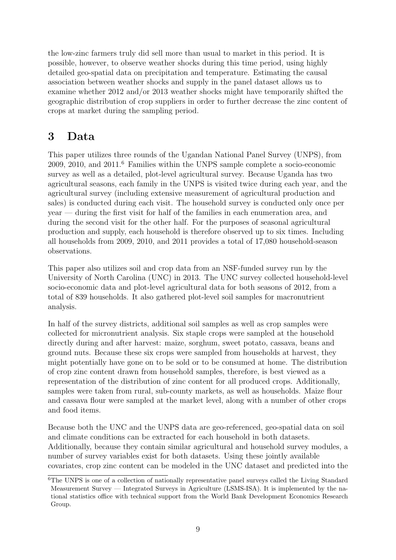the low-zinc farmers truly did sell more than usual to market in this period. It is possible, however, to observe weather shocks during this time period, using highly detailed geo-spatial data on precipitation and temperature. Estimating the causal association between weather shocks and supply in the panel dataset allows us to examine whether 2012 and/or 2013 weather shocks might have temporarily shifted the geographic distribution of crop suppliers in order to further decrease the zinc content of crops at market during the sampling period.

### 3 Data

This paper utilizes three rounds of the Ugandan National Panel Survey (UNPS), from 2009, 2010, and 2011.<sup>6</sup> Families within the UNPS sample complete a socio-economic survey as well as a detailed, plot-level agricultural survey. Because Uganda has two agricultural seasons, each family in the UNPS is visited twice during each year, and the agricultural survey (including extensive measurement of agricultural production and sales) is conducted during each visit. The household survey is conducted only once per year — during the first visit for half of the families in each enumeration area, and during the second visit for the other half. For the purposes of seasonal agricultural production and supply, each household is therefore observed up to six times. Including all households from 2009, 2010, and 2011 provides a total of 17,080 household-season observations.

This paper also utilizes soil and crop data from an NSF-funded survey run by the University of North Carolina (UNC) in 2013. The UNC survey collected household-level socio-economic data and plot-level agricultural data for both seasons of 2012, from a total of 839 households. It also gathered plot-level soil samples for macronutrient analysis.

In half of the survey districts, additional soil samples as well as crop samples were collected for micronutrient analysis. Six staple crops were sampled at the household directly during and after harvest: maize, sorghum, sweet potato, cassava, beans and ground nuts. Because these six crops were sampled from households at harvest, they might potentially have gone on to be sold or to be consumed at home. The distribution of crop zinc content drawn from household samples, therefore, is best viewed as a representation of the distribution of zinc content for all produced crops. Additionally, samples were taken from rural, sub-county markets, as well as households. Maize flour and cassava flour were sampled at the market level, along with a number of other crops and food items.

Because both the UNC and the UNPS data are geo-referenced, geo-spatial data on soil and climate conditions can be extracted for each household in both datasets. Additionally, because they contain similar agricultural and household survey modules, a number of survey variables exist for both datasets. Using these jointly available covariates, crop zinc content can be modeled in the UNC dataset and predicted into the

<sup>&</sup>lt;sup>6</sup>The UNPS is one of a collection of nationally representative panel surveys called the Living Standard Measurement Survey — Integrated Surveys in Agriculture (LSMS-ISA). It is implemented by the national statistics office with technical support from the World Bank Development Economics Research Group.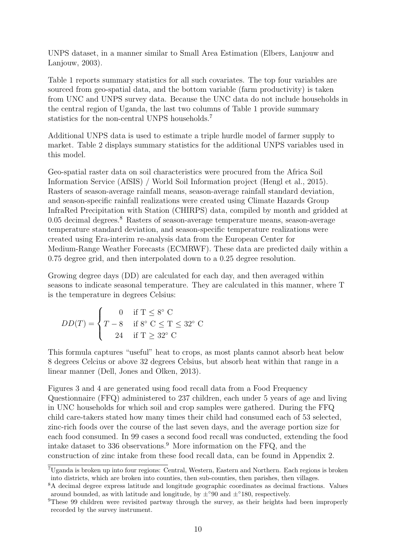UNPS dataset, in a manner similar to Small Area Estimation (Elbers, Lanjouw and Lanjouw, 2003).

Table 1 reports summary statistics for all such covariates. The top four variables are sourced from geo-spatial data, and the bottom variable (farm productivity) is taken from UNC and UNPS survey data. Because the UNC data do not include households in the central region of Uganda, the last two columns of Table 1 provide summary statistics for the non-central UNPS households.<sup>7</sup>

Additional UNPS data is used to estimate a triple hurdle model of farmer supply to market. Table 2 displays summary statistics for the additional UNPS variables used in this model.

Geo-spatial raster data on soil characteristics were procured from the Africa Soil Information Service (AfSIS) / World Soil Information project (Hengl et al., 2015). Rasters of season-average rainfall means, season-average rainfall standard deviation, and season-specific rainfall realizations were created using Climate Hazards Group InfraRed Precipitation with Station (CHIRPS) data, compiled by month and gridded at 0.05 decimal degrees.<sup>8</sup> Rasters of season-average temperature means, season-average temperature standard deviation, and season-specific temperature realizations were created using Era-interim re-analysis data from the European Center for Medium-Range Weather Forecasts (ECMRWF). These data are predicted daily within a 0.75 degree grid, and then interpolated down to a 0.25 degree resolution.

Growing degree days (DD) are calculated for each day, and then averaged within seasons to indicate seasonal temperature. They are calculated in this manner, where T is the temperature in degrees Celsius:

$$
DD(T) = \begin{cases} 0 & \text{if } T \le 8^{\circ} \text{ C} \\ T - 8 & \text{if } 8^{\circ} \text{ C} \le T \le 32^{\circ} \text{ C} \\ 24 & \text{if } T \ge 32^{\circ} \text{ C} \end{cases}
$$

This formula captures "useful" heat to crops, as most plants cannot absorb heat below 8 degrees Celcius or above 32 degrees Celsius, but absorb heat within that range in a linear manner (Dell, Jones and Olken, 2013).

Figures 3 and 4 are generated using food recall data from a Food Frequency Questionnaire (FFQ) administered to 237 children, each under 5 years of age and living in UNC households for which soil and crop samples were gathered. During the FFQ child care-takers stated how many times their child had consumed each of 53 selected, zinc-rich foods over the course of the last seven days, and the average portion size for each food consumed. In 99 cases a second food recall was conducted, extending the food intake dataset to 336 observations.<sup>9</sup> More information on the FFQ, and the construction of zinc intake from these food recall data, can be found in Appendix 2.

<sup>7</sup>Uganda is broken up into four regions: Central, Western, Eastern and Northern. Each regions is broken into districts, which are broken into counties, then sub-counties, then parishes, then villages.

<sup>8</sup>A decimal degree express latitude and longitude geographic coordinates as decimal fractions. Values around bounded, as with latitude and longitude, by  $\pm^{\circ}90$  and  $\pm^{\circ}180$ , respectively.

<sup>&</sup>lt;sup>9</sup>These 99 children were revisited partway through the survey, as their heights had been improperly recorded by the survey instrument.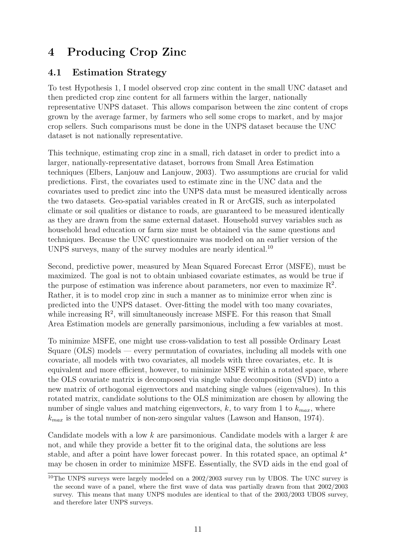# 4 Producing Crop Zinc

#### 4.1 Estimation Strategy

To test Hypothesis 1, I model observed crop zinc content in the small UNC dataset and then predicted crop zinc content for all farmers within the larger, nationally representative UNPS dataset. This allows comparison between the zinc content of crops grown by the average farmer, by farmers who sell some crops to market, and by major crop sellers. Such comparisons must be done in the UNPS dataset because the UNC dataset is not nationally representative.

This technique, estimating crop zinc in a small, rich dataset in order to predict into a larger, nationally-representative dataset, borrows from Small Area Estimation techniques (Elbers, Lanjouw and Lanjouw, 2003). Two assumptions are crucial for valid predictions. First, the covariates used to estimate zinc in the UNC data and the covariates used to predict zinc into the UNPS data must be measured identically across the two datasets. Geo-spatial variables created in R or ArcGIS, such as interpolated climate or soil qualities or distance to roads, are guaranteed to be measured identically as they are drawn from the same external dataset. Household survey variables such as household head education or farm size must be obtained via the same questions and techniques. Because the UNC questionnaire was modeled on an earlier version of the UNPS surveys, many of the survey modules are nearly identical.<sup>10</sup>

Second, predictive power, measured by Mean Squared Forecast Error (MSFE), must be maximized. The goal is not to obtain unbiased covariate estimates, as would be true if the purpose of estimation was inference about parameters, nor even to maximize  $\mathbb{R}^2$ . Rather, it is to model crop zinc in such a manner as to minimize error when zinc is predicted into the UNPS dataset. Over-fitting the model with too many covariates, while increasing  $R^2$ , will simultaneously increase MSFE. For this reason that Small Area Estimation models are generally parsimonious, including a few variables at most.

To minimize MSFE, one might use cross-validation to test all possible Ordinary Least Square (OLS) models — every permutation of covariates, including all models with one covariate, all models with two covariates, all models with three covariates, etc. It is equivalent and more efficient, however, to minimize MSFE within a rotated space, where the OLS covariate matrix is decomposed via single value decomposition (SVD) into a new matrix of orthogonal eigenvectors and matching single values (eigenvalues). In this rotated matrix, candidate solutions to the OLS minimization are chosen by allowing the number of single values and matching eigenvectors,  $k$ , to vary from 1 to  $k_{max}$ , where  $k_{max}$  is the total number of non-zero singular values (Lawson and Hanson, 1974).

Candidate models with a low  $k$  are parsimonious. Candidate models with a larger  $k$  are not, and while they provide a better fit to the original data, the solutions are less stable, and after a point have lower forecast power. In this rotated space, an optimal  $k^*$ may be chosen in order to minimize MSFE. Essentially, the SVD aids in the end goal of

<sup>&</sup>lt;sup>10</sup>The UNPS surveys were largely modeled on a 2002/2003 survey run by UBOS. The UNC survey is the second wave of a panel, where the first wave of data was partially drawn from that 2002/2003 survey. This means that many UNPS modules are identical to that of the  $2003/2003$  UBOS survey, and therefore later UNPS surveys.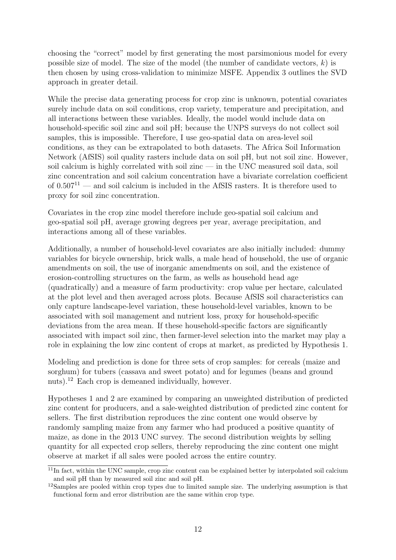choosing the "correct" model by first generating the most parsimonious model for every possible size of model. The size of the model (the number of candidate vectors,  $k$ ) is then chosen by using cross-validation to minimize MSFE. Appendix 3 outlines the SVD approach in greater detail.

While the precise data generating process for crop zinc is unknown, potential covariates surely include data on soil conditions, crop variety, temperature and precipitation, and all interactions between these variables. Ideally, the model would include data on household-specific soil zinc and soil pH; because the UNPS surveys do not collect soil samples, this is impossible. Therefore, I use geo-spatial data on area-level soil conditions, as they can be extrapolated to both datasets. The Africa Soil Information Network (AfSIS) soil quality rasters include data on soil pH, but not soil zinc. However, soil calcium is highly correlated with soil zinc — in the UNC measured soil data, soil zinc concentration and soil calcium concentration have a bivariate correlation coefficient of  $0.507<sup>11</sup>$  — and soil calcium is included in the AfSIS rasters. It is therefore used to proxy for soil zinc concentration.

Covariates in the crop zinc model therefore include geo-spatial soil calcium and geo-spatial soil pH, average growing degrees per year, average precipitation, and interactions among all of these variables.

Additionally, a number of household-level covariates are also initially included: dummy variables for bicycle ownership, brick walls, a male head of household, the use of organic amendments on soil, the use of inorganic amendments on soil, and the existence of erosion-controlling structures on the farm, as wells as household head age (quadratically) and a measure of farm productivity: crop value per hectare, calculated at the plot level and then averaged across plots. Because AfSIS soil characteristics can only capture landscape-level variation, these household-level variables, known to be associated with soil management and nutrient loss, proxy for household-specific deviations from the area mean. If these household-specific factors are significantly associated with impact soil zinc, then farmer-level selection into the market may play a role in explaining the low zinc content of crops at market, as predicted by Hypothesis 1.

Modeling and prediction is done for three sets of crop samples: for cereals (maize and sorghum) for tubers (cassava and sweet potato) and for legumes (beans and ground nuts).<sup>12</sup> Each crop is demeaned individually, however.

Hypotheses 1 and 2 are examined by comparing an unweighted distribution of predicted zinc content for producers, and a sale-weighted distribution of predicted zinc content for sellers. The first distribution reproduces the zinc content one would observe by randomly sampling maize from any farmer who had produced a positive quantity of maize, as done in the 2013 UNC survey. The second distribution weights by selling quantity for all expected crop sellers, thereby reproducing the zinc content one might observe at market if all sales were pooled across the entire country.

 $11$ In fact, within the UNC sample, crop zinc content can be explained better by interpolated soil calcium and soil pH than by measured soil zinc and soil pH.

<sup>&</sup>lt;sup>12</sup>Samples are pooled within crop types due to limited sample size. The underlying assumption is that functional form and error distribution are the same within crop type.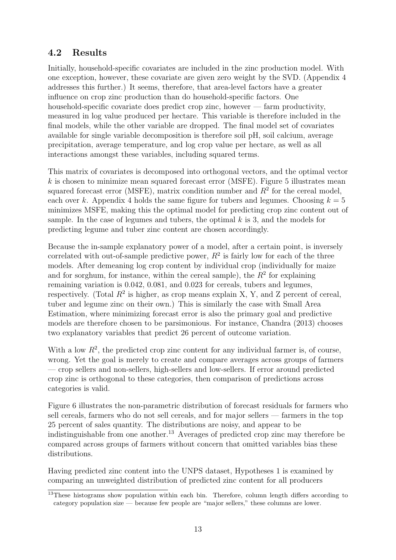#### 4.2 Results

Initially, household-specific covariates are included in the zinc production model. With one exception, however, these covariate are given zero weight by the SVD. (Appendix 4 addresses this further.) It seems, therefore, that area-level factors have a greater influence on crop zinc production than do household-specific factors. One household-specific covariate does predict crop zinc, however — farm productivity, measured in log value produced per hectare. This variable is therefore included in the final models, while the other variable are dropped. The final model set of covariates available for single variable decomposition is therefore soil pH, soil calcium, average precipitation, average temperature, and log crop value per hectare, as well as all interactions amongst these variables, including squared terms.

This matrix of covariates is decomposed into orthogonal vectors, and the optimal vector  $k$  is chosen to minimize mean squared forecast error (MSFE). Figure 5 illustrates mean squared forecast error (MSFE), matrix condition number and  $R^2$  for the cereal model, each over k. Appendix 4 holds the same figure for tubers and legumes. Choosing  $k = 5$ minimizes MSFE, making this the optimal model for predicting crop zinc content out of sample. In the case of legumes and tubers, the optimal  $k$  is 3, and the models for predicting legume and tuber zinc content are chosen accordingly.

Because the in-sample explanatory power of a model, after a certain point, is inversely correlated with out-of-sample predictive power,  $R^2$  is fairly low for each of the three models. After demeaning log crop content by individual crop (individually for maize and for sorghum, for instance, within the cereal sample), the  $R<sup>2</sup>$  for explaining remaining variation is 0.042, 0.081, and 0.023 for cereals, tubers and legumes, respectively. (Total  $R^2$  is higher, as crop means explain X, Y, and Z percent of cereal, tuber and legume zinc on their own.) This is similarly the case with Small Area Estimation, where minimizing forecast error is also the primary goal and predictive models are therefore chosen to be parsimonious. For instance, Chandra (2013) chooses two explanatory variables that predict 26 percent of outcome variation.

With a low  $R^2$ , the predicted crop zinc content for any individual farmer is, of course, wrong. Yet the goal is merely to create and compare averages across groups of farmers — crop sellers and non-sellers, high-sellers and low-sellers. If error around predicted crop zinc is orthogonal to these categories, then comparison of predictions across categories is valid.

Figure 6 illustrates the non-parametric distribution of forecast residuals for farmers who sell cereals, farmers who do not sell cereals, and for major sellers — farmers in the top 25 percent of sales quantity. The distributions are noisy, and appear to be indistinguishable from one another.<sup>13</sup> Averages of predicted crop zinc may therefore be compared across groups of farmers without concern that omitted variables bias these distributions.

Having predicted zinc content into the UNPS dataset, Hypotheses 1 is examined by comparing an unweighted distribution of predicted zinc content for all producers

<sup>&</sup>lt;sup>13</sup>These histograms show population within each bin. Therefore, column length differs according to category population size — because few people are "major sellers," these columns are lower.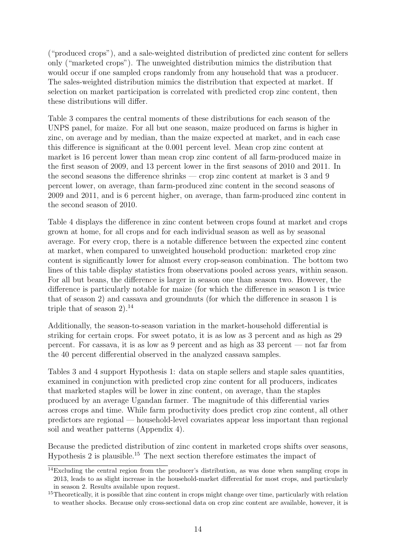("produced crops"), and a sale-weighted distribution of predicted zinc content for sellers only ("marketed crops"). The unweighted distribution mimics the distribution that would occur if one sampled crops randomly from any household that was a producer. The sales-weighted distribution mimics the distribution that expected at market. If selection on market participation is correlated with predicted crop zinc content, then these distributions will differ.

Table 3 compares the central moments of these distributions for each season of the UNPS panel, for maize. For all but one season, maize produced on farms is higher in zinc, on average and by median, than the maize expected at market, and in each case this difference is significant at the 0.001 percent level. Mean crop zinc content at market is 16 percent lower than mean crop zinc content of all farm-produced maize in the first season of 2009, and 13 percent lower in the first seasons of 2010 and 2011. In the second seasons the difference shrinks — crop zinc content at market is 3 and 9 percent lower, on average, than farm-produced zinc content in the second seasons of 2009 and 2011, and is 6 percent higher, on average, than farm-produced zinc content in the second season of 2010.

Table 4 displays the difference in zinc content between crops found at market and crops grown at home, for all crops and for each individual season as well as by seasonal average. For every crop, there is a notable difference between the expected zinc content at market, when compared to unweighted household production: marketed crop zinc content is significantly lower for almost every crop-season combination. The bottom two lines of this table display statistics from observations pooled across years, within season. For all but beans, the difference is larger in season one than season two. However, the difference is particularly notable for maize (for which the difference in season 1 is twice that of season 2) and cassava and groundnuts (for which the difference in season 1 is triple that of season  $2$ ).<sup>14</sup>

Additionally, the season-to-season variation in the market-household differential is striking for certain crops. For sweet potato, it is as low as 3 percent and as high as 29 percent. For cassava, it is as low as 9 percent and as high as 33 percent — not far from the 40 percent differential observed in the analyzed cassava samples.

Tables 3 and 4 support Hypothesis 1: data on staple sellers and staple sales quantities, examined in conjunction with predicted crop zinc content for all producers, indicates that marketed staples will be lower in zinc content, on average, than the staples produced by an average Ugandan farmer. The magnitude of this differential varies across crops and time. While farm productivity does predict crop zinc content, all other predictors are regional — household-level covariates appear less important than regional soil and weather patterns (Appendix 4).

Because the predicted distribution of zinc content in marketed crops shifts over seasons, Hypothesis 2 is plausible.<sup>15</sup> The next section therefore estimates the impact of

 $14$ Excluding the central region from the producer's distribution, as was done when sampling crops in 2013, leads to as slight increase in the household-market differential for most crops, and particularly in season 2. Results available upon request.

<sup>&</sup>lt;sup>15</sup>Theoretically, it is possible that zinc content in crops might change over time, particularly with relation to weather shocks. Because only cross-sectional data on crop zinc content are available, however, it is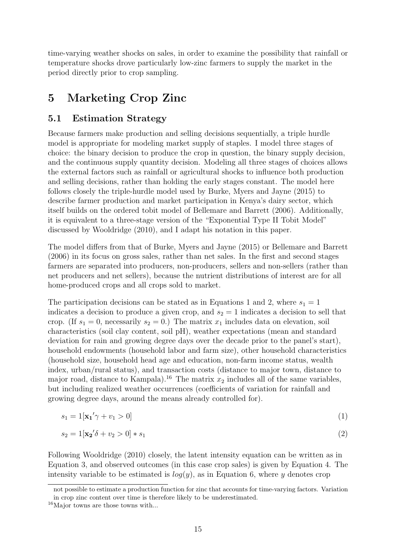time-varying weather shocks on sales, in order to examine the possibility that rainfall or temperature shocks drove particularly low-zinc farmers to supply the market in the period directly prior to crop sampling.

### 5 Marketing Crop Zinc

#### 5.1 Estimation Strategy

Because farmers make production and selling decisions sequentially, a triple hurdle model is appropriate for modeling market supply of staples. I model three stages of choice: the binary decision to produce the crop in question, the binary supply decision, and the continuous supply quantity decision. Modeling all three stages of choices allows the external factors such as rainfall or agricultural shocks to influence both production and selling decisions, rather than holding the early stages constant. The model here follows closely the triple-hurdle model used by Burke, Myers and Jayne (2015) to describe farmer production and market participation in Kenya's dairy sector, which itself builds on the ordered tobit model of Bellemare and Barrett (2006). Additionally, it is equivalent to a three-stage version of the "Exponential Type II Tobit Model" discussed by Wooldridge (2010), and I adapt his notation in this paper.

The model differs from that of Burke, Myers and Jayne (2015) or Bellemare and Barrett (2006) in its focus on gross sales, rather than net sales. In the first and second stages farmers are separated into producers, non-producers, sellers and non-sellers (rather than net producers and net sellers), because the nutrient distributions of interest are for all home-produced crops and all crops sold to market.

The participation decisions can be stated as in Equations 1 and 2, where  $s_1 = 1$ indicates a decision to produce a given crop, and  $s_2 = 1$  indicates a decision to sell that crop. (If  $s_1 = 0$ , necessarily  $s_2 = 0$ .) The matrix  $x_1$  includes data on elevation, soil characteristics (soil clay content, soil pH), weather expectations (mean and standard deviation for rain and growing degree days over the decade prior to the panel's start), household endowments (household labor and farm size), other household characteristics (household size, household head age and education, non-farm income status, wealth index, urban/rural status), and transaction costs (distance to major town, distance to major road, distance to Kampala).<sup>16</sup> The matrix  $x_2$  includes all of the same variables, but including realized weather occurrences (coefficients of variation for rainfall and growing degree days, around the means already controlled for).

$$
s_1 = 1[\mathbf{x_1}' \gamma + v_1 > 0] \tag{1}
$$

$$
s_2 = 1[\mathbf{x_2}'\delta + v_2 > 0] * s_1 \tag{2}
$$

Following Wooldridge (2010) closely, the latent intensity equation can be written as in Equation 3, and observed outcomes (in this case crop sales) is given by Equation 4. The intensity variable to be estimated is  $log(y)$ , as in Equation 6, where y denotes crop

not possible to estimate a production function for zinc that accounts for time-varying factors. Variation in crop zinc content over time is therefore likely to be underestimated.

<sup>16</sup>Major towns are those towns with...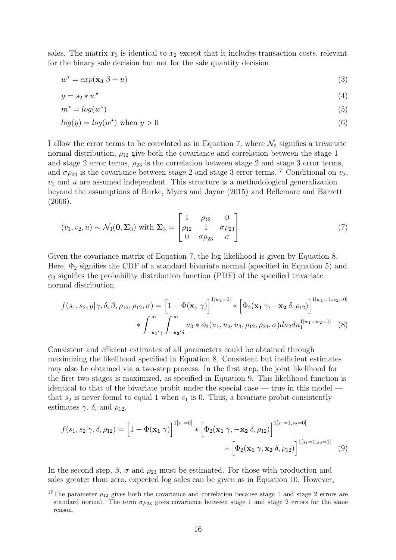sales. The matrix  $x_3$  is identical to  $x_2$  except that it includes transaction costs, relevant for the binary sale decision but not for the sale quantity decision.

$$
w^* = \exp(\mathbf{x_3} \beta + u) \tag{3}
$$

$$
y = s_2 * w^* \tag{4}
$$

$$
m^* = \log(w^*)\tag{5}
$$

$$
log(y) = log(w^*) \text{ when } y > 0
$$
\n<sup>(6)</sup>

I allow the error terms to be correlated as in Equation 7, where  $\mathcal{N}_3$  signifies a trivariate normal distribution,  $\rho_{12}$  give both the covariance and correlation between the stage 1 and stage 2 error terms,  $\rho_{23}$  is the correlation between stage 2 and stage 3 error terms, and  $\sigma \rho_{23}$  is the covariance between stage 2 and stage 3 error terms.<sup>17</sup> Conditional on  $v_2$ ,  $v_1$  and  $u$  are assumed independent. This structure is a methodological generalization beyond the assumptions of Burke, Myers and Jayne (2015) and Bellemare and Barrett (2006).

$$
(v_1, v_2, u) \sim \mathcal{N}_3(\mathbf{0}, \Sigma_3) \text{ with } \Sigma_3 = \begin{bmatrix} 1 & \rho_{12} & 0 \\ \rho_{12} & 1 & \sigma \rho_{23} \\ 0 & \sigma \rho_{23} & \sigma \end{bmatrix}
$$
 (7)

Given the covariance matrix of Equation 7, the log likelihood is given by Equation 8. Here,  $\Phi_2$  signifies the CDF of a standard bivariate normal (specified in Equation 5) and  $\phi_3$  signifies the probability distribution function (PDF) of the specified trivariate normal distribution.

$$
f(s_1, s_2, y | \gamma, \delta, \beta, \rho_{12}, \rho_{12}, \sigma) = \left[1 - \Phi(\mathbf{x}_1 \gamma)\right]^{1[w_1=0]} * \left[\Phi_2(\mathbf{x}_1 \gamma, -\mathbf{x}_2 \delta, \rho_{12})\right]^{1[w_1=1, w_2=0]}
$$

$$
* \int_{-\mathbf{x}_1/\gamma}^{\infty} \int_{-\mathbf{x}_2/\delta}^{\infty} u_3 * \phi_3(u_1, u_2, u_3, \rho_{12}, \rho_{23}, \sigma) du_2 du_1^{1[w_1=w_2=1]} \tag{8}
$$

Consistent and efficient estimates of all parameters could be obtained through maximizing the likelihood specified in Equation 8. Consistent but inefficient estimates may also be obtained via a two-step process. In the first step, the joint likelihood for the first two stages is maximized, as specified in Equation 9. This likelihood function is identical to that of the bivariate probit under the special case  $-$  true in this model that  $s_2$  is never found to equal 1 when  $s_1$  is 0. Thus, a bivariate probit consistently estimates  $\gamma$ ,  $\delta$ , and  $\rho_{12}$ .

$$
f(s_1, s_2 | \gamma, \delta, \rho_{12}) = \left[1 - \Phi(\mathbf{x}_1 \gamma)\right]^{1[s_1 = 0]} * \left[\Phi_2(\mathbf{x}_1 \gamma, -\mathbf{x}_2 \delta, \rho_{12})\right]^{1[s_1 = 1, s_2 = 0]}
$$

$$
* \left[\Phi_2(\mathbf{x}_1 \gamma, \mathbf{x}_2 \delta, \rho_{12})\right]^{1[s_1 = 1, s_2 = 1]}
$$
(9)

In the second step,  $\beta$ ,  $\sigma$  and  $\rho_{23}$  must be estimated. For those with production and sales greater than zero, expected log sales can be given as in Equation 10. However,

<sup>&</sup>lt;sup>17</sup>The parameter  $\rho_{12}$  gives both the covariance and correlation because stage 1 and stage 2 errors are standard normal. The term  $\sigma \rho_{23}$  gives covariance between stage 1 and stage 2 errors for the same reason.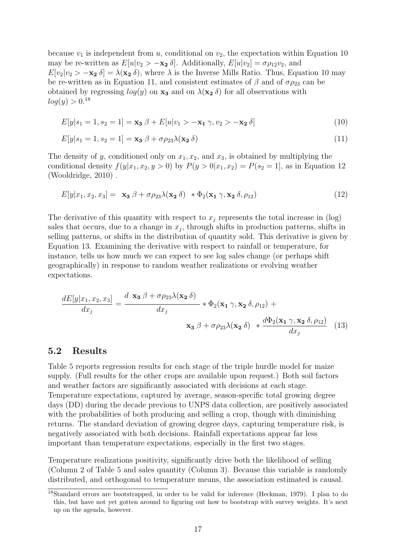may be re-written as  $E[u|v_2\rangle - \mathbf{x_2} \delta]$ . Additionally,  $E[u|v_2] = \sigma \rho_{12}v_2$ , and  $E[v_2|v_2 > -\mathbf{x_2} \delta] = \lambda(\mathbf{x_2} \delta)$ , where  $\lambda$  is the Inverse Mills Ratio. Thus, Equation 10 may obtained by regressing  $log(y)$  on  $\mathbf{x}_3$  and on  $\lambda(\mathbf{x}_2;\delta)$  for all observations with because  $v_1$  is independent from u, conditional on  $v_2$ , the expectation within Equation 10 be re-written as in Equation 11, and consistent estimates of  $\beta$  and of  $\sigma \rho_{23}$  can be  $log(y) > 0.^{18}$ 

$$
E[y|s_1 = 1, s_2 = 1] = \mathbf{x_3} \beta + E[u|v_1 > -\mathbf{x_1} \gamma, v_2 > -\mathbf{x_2} \delta]
$$
\n(10)

$$
E[y|s_1 = 1, s_2 = 1] = \mathbf{x_3} \beta + \sigma \rho_{23} \lambda (\mathbf{x_2} \delta)
$$
\n(11)

The density of y, conditioned only on  $x_1, x_2$ , and  $x_3$ , is obtained by multiplying the conditional density  $f(y|x_1, x_2, y > 0)$  by  $P(y > 0|x_1, x_2) = P(s_2 = 1)$ , as in Equation 12 (Wooldridge, 2010) .

$$
E[y|x_1, x_2, x_3] = \mathbf{x}_3 \beta + \sigma \rho_{23} \lambda(\mathbf{x}_2 \delta) \quad * \Phi_2(\mathbf{x}_1 \gamma, \mathbf{x}_2 \delta, \rho_{12}) \tag{12}
$$

The derivative of this quantity with respect to  $x_j$  represents the total increase in (log) sales that occurs, due to a change in  $x_j$ , through shifts in production patterns, shifts in selling patterns, or shifts in the distribution of quantity sold. This derivative is given by Equation 13. Examining the derivative with respect to rainfall or temperature, for instance, tells us how much we can expect to see log sales change (or perhaps shift geographically) in response to random weather realizations or evolving weather expectations.

$$
\frac{dE[y|x_1, x_2, x_3]}{dx_j} = \frac{d \mathbf{x}_3 \beta + \sigma \rho_{23} \lambda(\mathbf{x}_2 \delta)}{dx_j} * \Phi_2(\mathbf{x}_1 \gamma, \mathbf{x}_2 \delta, \rho_{12}) + \mathbf{x}_3 \beta + \sigma \rho_{23} \lambda(\mathbf{x}_2 \delta) * \frac{d\Phi_2(\mathbf{x}_1 \gamma, \mathbf{x}_2 \delta, \rho_{12})}{dx_j}
$$
(13)

#### 5.2 Results

Table 5 reports regression results for each stage of the triple hurdle model for maize supply. (Full results for the other crops are available upon request.) Both soil factors and weather factors are significantly associated with decisions at each stage. Temperature expectations, captured by average, season-specific total growing degree days (DD) during the decade previous to UNPS data collection, are positively associated with the probabilities of both producing and selling a crop, though with diminishing returns. The standard deviation of growing degree days, capturing temperature risk, is negatively associated with both decisions. Rainfall expectations appear far less important than temperature expectations, especially in the first two stages.

Temperature realizations positivity, significantly drive both the likelihood of selling (Column 2 of Table 5 and sales quantity (Column 3). Because this variable is randomly distributed, and orthogonal to temperature means, the association estimated is causal.

<sup>18</sup>Standard errors are bootstrapped, in order to be valid for inference (Heckman, 1979). I plan to do this, but have not yet gotten around to figuring out how to bootstrap with survey weights. It's next up on the agenda, however.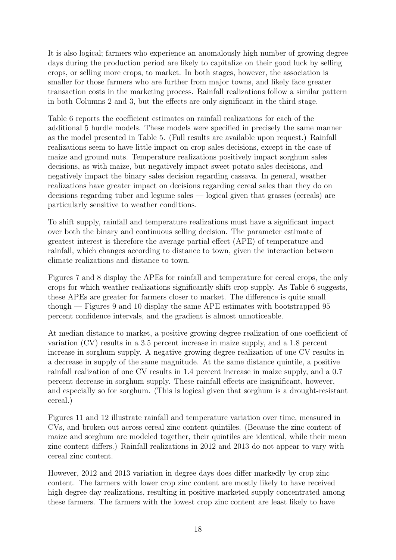It is also logical; farmers who experience an anomalously high number of growing degree days during the production period are likely to capitalize on their good luck by selling crops, or selling more crops, to market. In both stages, however, the association is smaller for those farmers who are further from major towns, and likely face greater transaction costs in the marketing process. Rainfall realizations follow a similar pattern in both Columns 2 and 3, but the effects are only significant in the third stage.

Table 6 reports the coefficient estimates on rainfall realizations for each of the additional 5 hurdle models. These models were specified in precisely the same manner as the model presented in Table 5. (Full results are available upon request.) Rainfall realizations seem to have little impact on crop sales decisions, except in the case of maize and ground nuts. Temperature realizations positively impact sorghum sales decisions, as with maize, but negatively impact sweet potato sales decisions, and negatively impact the binary sales decision regarding cassava. In general, weather realizations have greater impact on decisions regarding cereal sales than they do on decisions regarding tuber and legume sales — logical given that grasses (cereals) are particularly sensitive to weather conditions.

To shift supply, rainfall and temperature realizations must have a significant impact over both the binary and continuous selling decision. The parameter estimate of greatest interest is therefore the average partial effect (APE) of temperature and rainfall, which changes according to distance to town, given the interaction between climate realizations and distance to town.

Figures 7 and 8 display the APEs for rainfall and temperature for cereal crops, the only crops for which weather realizations significantly shift crop supply. As Table 6 suggests, these APEs are greater for farmers closer to market. The difference is quite small though — Figures 9 and 10 display the same APE estimates with bootstrapped 95 percent confidence intervals, and the gradient is almost unnoticeable.

At median distance to market, a positive growing degree realization of one coefficient of variation (CV) results in a 3.5 percent increase in maize supply, and a 1.8 percent increase in sorghum supply. A negative growing degree realization of one CV results in a decrease in supply of the same magnitude. At the same distance quintile, a positive rainfall realization of one CV results in 1.4 percent increase in maize supply, and a 0.7 percent decrease in sorghum supply. These rainfall effects are insignificant, however, and especially so for sorghum. (This is logical given that sorghum is a drought-resistant cereal.)

Figures 11 and 12 illustrate rainfall and temperature variation over time, measured in CVs, and broken out across cereal zinc content quintiles. (Because the zinc content of maize and sorghum are modeled together, their quintiles are identical, while their mean zinc content differs.) Rainfall realizations in 2012 and 2013 do not appear to vary with cereal zinc content.

However, 2012 and 2013 variation in degree days does differ markedly by crop zinc content. The farmers with lower crop zinc content are mostly likely to have received high degree day realizations, resulting in positive marketed supply concentrated among these farmers. The farmers with the lowest crop zinc content are least likely to have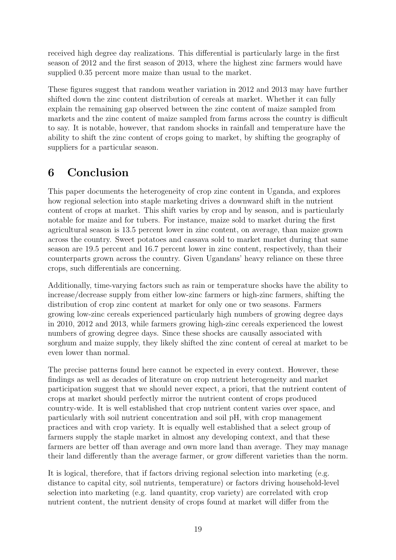received high degree day realizations. This differential is particularly large in the first season of 2012 and the first season of 2013, where the highest zinc farmers would have supplied 0.35 percent more maize than usual to the market.

These figures suggest that random weather variation in 2012 and 2013 may have further shifted down the zinc content distribution of cereals at market. Whether it can fully explain the remaining gap observed between the zinc content of maize sampled from markets and the zinc content of maize sampled from farms across the country is difficult to say. It is notable, however, that random shocks in rainfall and temperature have the ability to shift the zinc content of crops going to market, by shifting the geography of suppliers for a particular season.

### 6 Conclusion

This paper documents the heterogeneity of crop zinc content in Uganda, and explores how regional selection into staple marketing drives a downward shift in the nutrient content of crops at market. This shift varies by crop and by season, and is particularly notable for maize and for tubers. For instance, maize sold to market during the first agricultural season is 13.5 percent lower in zinc content, on average, than maize grown across the country. Sweet potatoes and cassava sold to market market during that same season are 19.5 percent and 16.7 percent lower in zinc content, respectively, than their counterparts grown across the country. Given Ugandans' heavy reliance on these three crops, such differentials are concerning.

Additionally, time-varying factors such as rain or temperature shocks have the ability to increase/decrease supply from either low-zinc farmers or high-zinc farmers, shifting the distribution of crop zinc content at market for only one or two seasons. Farmers growing low-zinc cereals experienced particularly high numbers of growing degree days in 2010, 2012 and 2013, while farmers growing high-zinc cereals experienced the lowest numbers of growing degree days. Since these shocks are causally associated with sorghum and maize supply, they likely shifted the zinc content of cereal at market to be even lower than normal.

The precise patterns found here cannot be expected in every context. However, these findings as well as decades of literature on crop nutrient heterogeneity and market participation suggest that we should never expect, a priori, that the nutrient content of crops at market should perfectly mirror the nutrient content of crops produced country-wide. It is well established that crop nutrient content varies over space, and particularly with soil nutrient concentration and soil pH, with crop management practices and with crop variety. It is equally well established that a select group of farmers supply the staple market in almost any developing context, and that these farmers are better off than average and own more land than average. They may manage their land differently than the average farmer, or grow different varieties than the norm.

It is logical, therefore, that if factors driving regional selection into marketing (e.g. distance to capital city, soil nutrients, temperature) or factors driving household-level selection into marketing (e.g. land quantity, crop variety) are correlated with crop nutrient content, the nutrient density of crops found at market will differ from the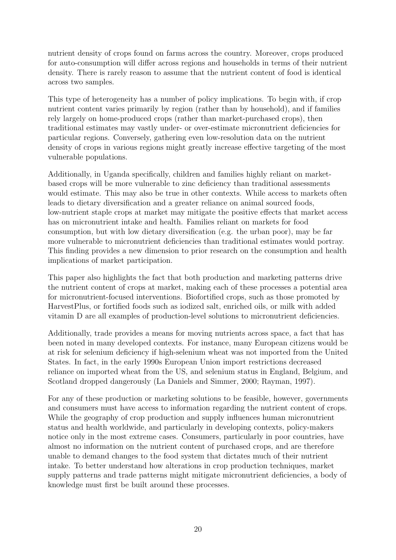nutrient density of crops found on farms across the country. Moreover, crops produced for auto-consumption will differ across regions and households in terms of their nutrient density. There is rarely reason to assume that the nutrient content of food is identical across two samples.

This type of heterogeneity has a number of policy implications. To begin with, if crop nutrient content varies primarily by region (rather than by household), and if families rely largely on home-produced crops (rather than market-purchased crops), then traditional estimates may vastly under- or over-estimate micronutrient deficiencies for particular regions. Conversely, gathering even low-resolution data on the nutrient density of crops in various regions might greatly increase effective targeting of the most vulnerable populations.

Additionally, in Uganda specifically, children and families highly reliant on marketbased crops will be more vulnerable to zinc deficiency than traditional assessments would estimate. This may also be true in other contexts. While access to markets often leads to dietary diversification and a greater reliance on animal sourced foods, low-nutrient staple crops at market may mitigate the positive effects that market access has on micronutrient intake and health. Families reliant on markets for food consumption, but with low dietary diversification (e.g. the urban poor), may be far more vulnerable to micronutrient deficiencies than traditional estimates would portray. This finding provides a new dimension to prior research on the consumption and health implications of market participation.

This paper also highlights the fact that both production and marketing patterns drive the nutrient content of crops at market, making each of these processes a potential area for micronutrient-focused interventions. Biofortified crops, such as those promoted by HarvestPlus, or fortified foods such as iodized salt, enriched oils, or milk with added vitamin D are all examples of production-level solutions to micronutrient deficiencies.

Additionally, trade provides a means for moving nutrients across space, a fact that has been noted in many developed contexts. For instance, many European citizens would be at risk for selenium deficiency if high-selenium wheat was not imported from the United States. In fact, in the early 1990s European Union import restrictions decreased reliance on imported wheat from the US, and selenium status in England, Belgium, and Scotland dropped dangerously (La Daniels and Simmer, 2000; Rayman, 1997).

For any of these production or marketing solutions to be feasible, however, governments and consumers must have access to information regarding the nutrient content of crops. While the geography of crop production and supply influences human micronutrient status and health worldwide, and particularly in developing contexts, policy-makers notice only in the most extreme cases. Consumers, particularly in poor countries, have almost no information on the nutrient content of purchased crops, and are therefore unable to demand changes to the food system that dictates much of their nutrient intake. To better understand how alterations in crop production techniques, market supply patterns and trade patterns might mitigate micronutrient deficiencies, a body of knowledge must first be built around these processes.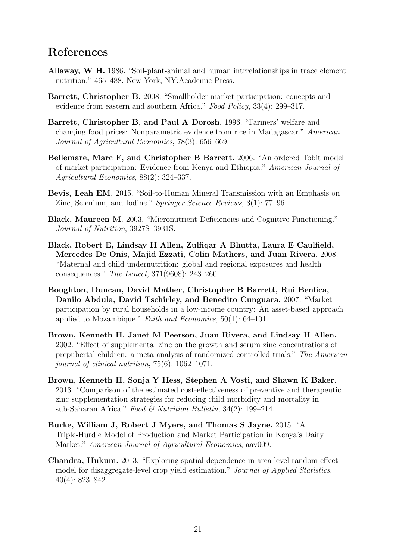### References

- Allaway, W H. 1986. "Soil-plant-animal and human intrrelationships in trace element nutrition." 465–488. New York, NY:Academic Press.
- Barrett, Christopher B. 2008. "Smallholder market participation: concepts and evidence from eastern and southern Africa." Food Policy, 33(4): 299–317.
- Barrett, Christopher B, and Paul A Dorosh. 1996. "Farmers' welfare and changing food prices: Nonparametric evidence from rice in Madagascar." American Journal of Agricultural Economics, 78(3): 656–669.
- Bellemare, Marc F, and Christopher B Barrett. 2006. "An ordered Tobit model of market participation: Evidence from Kenya and Ethiopia." American Journal of Agricultural Economics, 88(2): 324–337.
- Bevis, Leah EM. 2015. "Soil-to-Human Mineral Transmission with an Emphasis on Zinc, Selenium, and Iodine." Springer Science Reviews, 3(1): 77–96.
- Black, Maureen M. 2003. "Micronutrient Deficiencies and Cognitive Functioning." Journal of Nutrition, 3927S–3931S.
- Black, Robert E, Lindsay H Allen, Zulfiqar A Bhutta, Laura E Caulfield, Mercedes De Onis, Majid Ezzati, Colin Mathers, and Juan Rivera. 2008. "Maternal and child undernutrition: global and regional exposures and health consequences." The Lancet, 371(9608): 243–260.
- Boughton, Duncan, David Mather, Christopher B Barrett, Rui Benfica, Danilo Abdula, David Tschirley, and Benedito Cunguara. 2007. "Market participation by rural households in a low-income country: An asset-based approach applied to Mozambique." Faith and Economics, 50(1): 64–101.
- Brown, Kenneth H, Janet M Peerson, Juan Rivera, and Lindsay H Allen. 2002. "Effect of supplemental zinc on the growth and serum zinc concentrations of prepubertal children: a meta-analysis of randomized controlled trials." The American journal of clinical nutrition, 75(6): 1062–1071.
- Brown, Kenneth H, Sonja Y Hess, Stephen A Vosti, and Shawn K Baker. 2013. "Comparison of the estimated cost-effectiveness of preventive and therapeutic zinc supplementation strategies for reducing child morbidity and mortality in sub-Saharan Africa." Food & Nutrition Bulletin, 34(2): 199–214.
- Burke, William J, Robert J Myers, and Thomas S Jayne. 2015. "A Triple-Hurdle Model of Production and Market Participation in Kenya's Dairy Market." American Journal of Agricultural Economics, aav009.
- Chandra, Hukum. 2013. "Exploring spatial dependence in area-level random effect model for disaggregate-level crop yield estimation." Journal of Applied Statistics, 40(4): 823–842.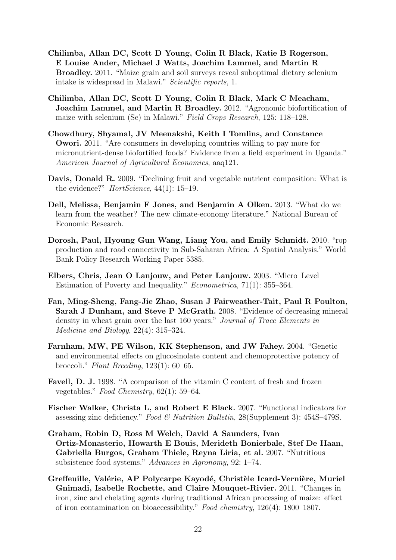- Chilimba, Allan DC, Scott D Young, Colin R Black, Katie B Rogerson, E Louise Ander, Michael J Watts, Joachim Lammel, and Martin R Broadley. 2011. "Maize grain and soil surveys reveal suboptimal dietary selenium intake is widespread in Malawi." Scientific reports, 1.
- Chilimba, Allan DC, Scott D Young, Colin R Black, Mark C Meacham, Joachim Lammel, and Martin R Broadley. 2012. "Agronomic biofortification of maize with selenium (Se) in Malawi." Field Crops Research, 125: 118–128.
- Chowdhury, Shyamal, JV Meenakshi, Keith I Tomlins, and Constance Owori. 2011. "Are consumers in developing countries willing to pay more for micronutrient-dense biofortified foods? Evidence from a field experiment in Uganda." American Journal of Agricultural Economics, aaq121.
- Davis, Donald R. 2009. "Declining fruit and vegetable nutrient composition: What is the evidence?"  $HortScience$ , 44(1): 15–19.
- Dell, Melissa, Benjamin F Jones, and Benjamin A Olken. 2013. "What do we learn from the weather? The new climate-economy literature." National Bureau of Economic Research.
- Dorosh, Paul, Hyoung Gun Wang, Liang You, and Emily Schmidt. 2010. "rop production and road connectivity in Sub-Saharan Africa: A Spatial Analysis." World Bank Policy Research Working Paper 5385.
- Elbers, Chris, Jean O Lanjouw, and Peter Lanjouw. 2003. "Micro–Level Estimation of Poverty and Inequality." Econometrica, 71(1): 355–364.
- Fan, Ming-Sheng, Fang-Jie Zhao, Susan J Fairweather-Tait, Paul R Poulton, Sarah J Dunham, and Steve P McGrath. 2008. "Evidence of decreasing mineral density in wheat grain over the last 160 years." Journal of Trace Elements in Medicine and Biology, 22(4): 315–324.
- Farnham, MW, PE Wilson, KK Stephenson, and JW Fahey. 2004. "Genetic and environmental effects on glucosinolate content and chemoprotective potency of broccoli." Plant Breeding, 123(1): 60–65.
- Favell, D. J. 1998. "A comparison of the vitamin C content of fresh and frozen vegetables." Food Chemistry, 62(1): 59–64.
- Fischer Walker, Christa L, and Robert E Black. 2007. "Functional indicators for assessing zinc deficiency." Food & Nutrition Bulletin, 28(Supplement 3): 454S–479S.
- Graham, Robin D, Ross M Welch, David A Saunders, Ivan Ortiz-Monasterio, Howarth E Bouis, Merideth Bonierbale, Stef De Haan, Gabriella Burgos, Graham Thiele, Reyna Liria, et al. 2007. "Nutritious subsistence food systems." Advances in Agronomy, 92: 1–74.
- Greffeuille, Valérie, AP Polycarpe Kayodé, Christèle Icard-Vernière, Muriel Gnimadi, Isabelle Rochette, and Claire Mouquet-Rivier. 2011. "Changes in iron, zinc and chelating agents during traditional African processing of maize: effect of iron contamination on bioaccessibility." Food chemistry, 126(4): 1800–1807.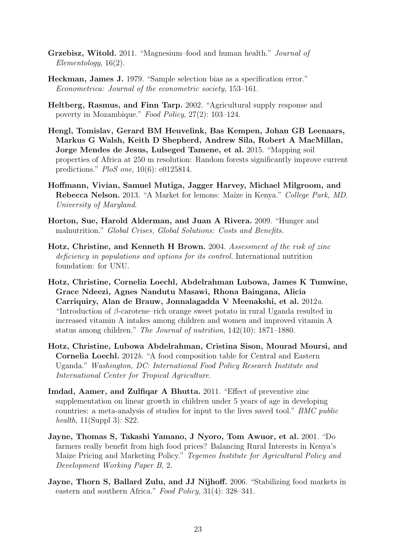- Grzebisz, Witold. 2011. "Magnesium–food and human health." Journal of Elementology, 16(2).
- Heckman, James J. 1979. "Sample selection bias as a specification error." Econometrica: Journal of the econometric society, 153–161.
- Heltberg, Rasmus, and Finn Tarp. 2002. "Agricultural supply response and poverty in Mozambique." Food Policy, 27(2): 103–124.
- Hengl, Tomislav, Gerard BM Heuvelink, Bas Kempen, Johan GB Leenaars, Markus G Walsh, Keith D Shepherd, Andrew Sila, Robert A MacMillan, Jorge Mendes de Jesus, Lulseged Tamene, et al. 2015. "Mapping soil properties of Africa at 250 m resolution: Random forests significantly improve current predictions." PloS one, 10(6): e0125814.
- Hoffmann, Vivian, Samuel Mutiga, Jagger Harvey, Michael Milgroom, and Rebecca Nelson. 2013. "A Market for lemons: Maize in Kenya." College Park, MD. University of Maryland.
- Horton, Sue, Harold Alderman, and Juan A Rivera. 2009. "Hunger and malnutrition." Global Crises, Global Solutions: Costs and Benefits.
- Hotz, Christine, and Kenneth H Brown. 2004. Assessment of the risk of zinc deficiency in populations and options for its control. International nutrition foundation: for UNU.
- Hotz, Christine, Cornelia Loechl, Abdelrahman Lubowa, James K Tumwine, Grace Ndeezi, Agnes Nandutu Masawi, Rhona Baingana, Alicia Carriquiry, Alan de Brauw, Jonnalagadda V Meenakshi, et al. 2012a. "Introduction of  $\beta$ -carotene–rich orange sweet potato in rural Uganda resulted in increased vitamin A intakes among children and women and improved vitamin A status among children." The Journal of nutrition, 142(10): 1871–1880.
- Hotz, Christine, Lubowa Abdelrahman, Cristina Sison, Mourad Moursi, and Cornelia Loechl. 2012b. "A food composition table for Central and Eastern Uganda." Washington, DC: International Food Policy Research Institute and International Center for Tropical Agriculture.
- Imdad, Aamer, and Zulfiqar A Bhutta. 2011. "Effect of preventive zinc supplementation on linear growth in children under 5 years of age in developing countries: a meta-analysis of studies for input to the lives saved tool." BMC public health,  $11(Suppl 3)$ : S22.
- Jayne, Thomas S, Takashi Yamano, J Nyoro, Tom Awuor, et al. 2001. "Do farmers really benefit from high food prices? Balancing Rural Interests in Kenya's Maize Pricing and Marketing Policy." Tegemeo Institute for Agricultural Policy and Development Working Paper B, 2.
- Jayne, Thorn S, Ballard Zulu, and JJ Nijhoff. 2006. "Stabilizing food markets in eastern and southern Africa." Food Policy, 31(4): 328–341.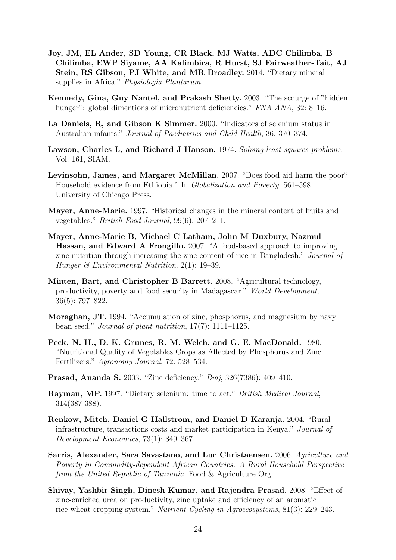- Joy, JM, EL Ander, SD Young, CR Black, MJ Watts, ADC Chilimba, B Chilimba, EWP Siyame, AA Kalimbira, R Hurst, SJ Fairweather-Tait, AJ Stein, RS Gibson, PJ White, and MR Broadley. 2014. "Dietary mineral supplies in Africa." Physiologia Plantarum.
- Kennedy, Gina, Guy Nantel, and Prakash Shetty. 2003. "The scourge of "hidden hunger": global dimentions of micronutrient deficiencies." FNA ANA, 32: 8-16.
- La Daniels, R, and Gibson K Simmer. 2000. "Indicators of selenium status in Australian infants." Journal of Paediatrics and Child Health, 36: 370–374.
- Lawson, Charles L, and Richard J Hanson. 1974. Solving least squares problems. Vol. 161, SIAM.
- Levinsohn, James, and Margaret McMillan. 2007. "Does food aid harm the poor? Household evidence from Ethiopia." In Globalization and Poverty. 561–598. University of Chicago Press.
- Mayer, Anne-Marie. 1997. "Historical changes in the mineral content of fruits and vegetables." British Food Journal, 99(6): 207–211.
- Mayer, Anne-Marie B, Michael C Latham, John M Duxbury, Nazmul Hassan, and Edward A Frongillo. 2007. "A food-based approach to improving zinc nutrition through increasing the zinc content of rice in Bangladesh." Journal of Hunger  $\mathcal C$  Environmental Nutrition, 2(1): 19–39.
- Minten, Bart, and Christopher B Barrett. 2008. "Agricultural technology, productivity, poverty and food security in Madagascar." World Development, 36(5): 797–822.
- Moraghan, JT. 1994. "Accumulation of zinc, phosphorus, and magnesium by navy bean seed." Journal of plant nutrition, 17(7): 1111–1125.
- Peck, N. H., D. K. Grunes, R. M. Welch, and G. E. MacDonald. 1980. "Nutritional Quality of Vegetables Crops as Affected by Phosphorus and Zinc Fertilizers." Agronomy Journal, 72: 528–534.
- Prasad, Ananda S. 2003. "Zinc deficiency." Bmj, 326(7386): 409–410.
- Rayman, MP. 1997. "Dietary selenium: time to act." British Medical Journal, 314(387-388).
- Renkow, Mitch, Daniel G Hallstrom, and Daniel D Karanja. 2004. "Rural infrastructure, transactions costs and market participation in Kenya." Journal of Development Economics, 73(1): 349–367.
- Sarris, Alexander, Sara Savastano, and Luc Christaensen. 2006. Agriculture and Poverty in Commodity-dependent African Countries: A Rural Household Perspective from the United Republic of Tanzania. Food & Agriculture Org.
- Shivay, Yashbir Singh, Dinesh Kumar, and Rajendra Prasad. 2008. "Effect of zinc-enriched urea on productivity, zinc uptake and efficiency of an aromatic rice-wheat cropping system." Nutrient Cycling in Agroecosystems, 81(3): 229–243.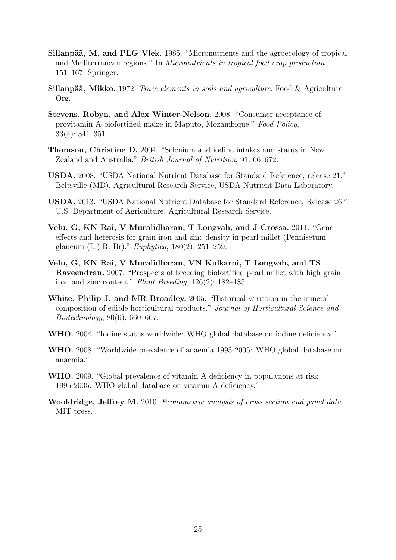- Sillanpää, M, and PLG Vlek. 1985. "Micronutrients and the agroecology of tropical and Mediterranean regions." In Micronutrients in tropical food crop production. 151–167. Springer.
- **Sillanpää, Mikko.** 1972. Trace elements in soils and agriculture. Food  $\&$  Agriculture Org.
- Stevens, Robyn, and Alex Winter-Nelson. 2008. "Consumer acceptance of provitamin A-biofortified maize in Maputo, Mozambique." Food Policy, 33(4): 341–351.
- Thomson, Christine D. 2004. "Selenium and iodine intakes and status in New Zealand and Australia." British Journal of Nutrition, 91: 66–672.
- USDA. 2008. "USDA National Nutrient Database for Standard Reference, release 21." Beltsville (MD), Agricultural Research Service, USDA Nutrient Data Laboratory.
- USDA. 2013. "USDA National Nutrient Database for Standard Reference, Release 26." U.S. Department of Agriculture, Agricultural Research Service.
- Velu, G, KN Rai, V Muralidharan, T Longvah, and J Crossa. 2011. "Gene effects and heterosis for grain iron and zinc density in pearl millet (Pennisetum glaucum (L.) R. Br)." Euphytica, 180(2): 251–259.
- Velu, G, KN Rai, V Muralidharan, VN Kulkarni, T Longvah, and TS Raveendran. 2007. "Prospects of breeding biofortified pearl millet with high grain iron and zinc content." Plant Breeding, 126(2): 182–185.
- White, Philip J, and MR Broadley. 2005. "Historical variation in the mineral composition of edible horticultural products." Journal of Horticultural Science and Biotechnology, 80(6): 660–667.
- WHO. 2004. "Iodine status worldwide: WHO global database on iodine deficiency."
- WHO. 2008. "Worldwide prevalence of anaemia 1993-2005: WHO global database on anaemia."
- WHO. 2009. "Global prevalence of vitamin A deficiency in populations at risk 1995-2005: WHO global database on vitamin A deficiency."
- Wooldridge, Jeffrey M. 2010. Econometric analysis of cross section and panel data. MIT press.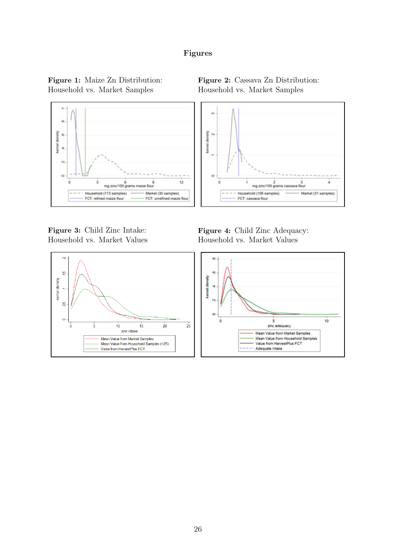#### Figures



Household vs. Market Values Household vs. Market Values

٠b<br>P

 $\leftarrow$ 

g

kernel density





Figure 3: Child Zinc Intake: Figure 4: Child Zinc Adequacy:

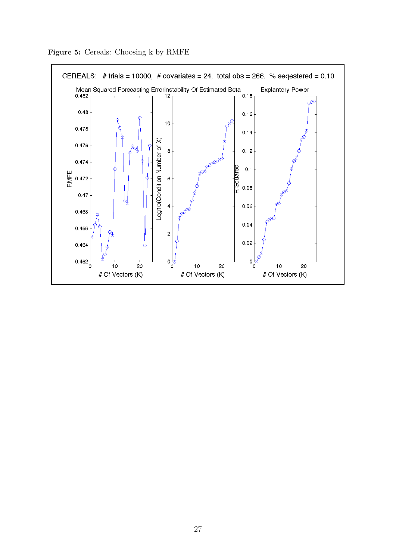

Figure 5: Cereals: Choosing k by RMFE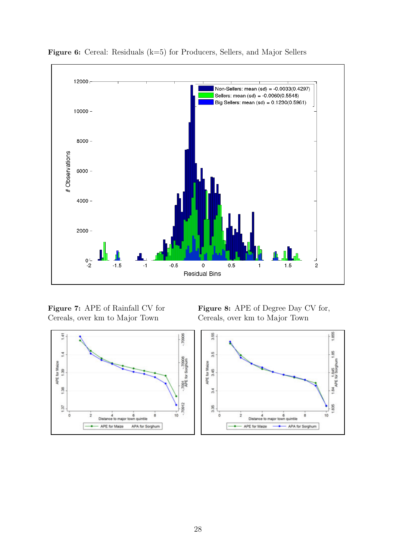

Figure 6: Cereal: Residuals (k=5) for Producers, Sellers, and Major Sellers

Cereals, over km to Major Town Cereals, over km to Major Town



Figure 7: APE of Rainfall CV for Figure 8: APE of Degree Day CV for,

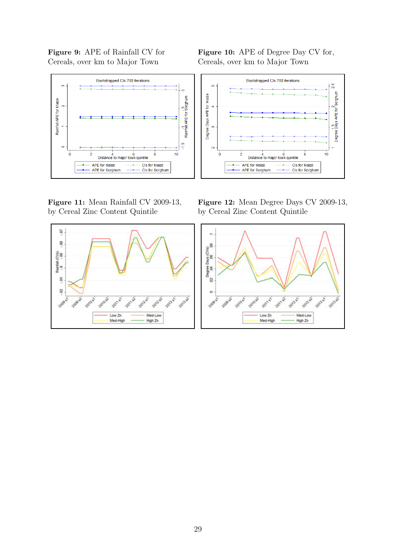Cereals, over km to Major Town Cereals, over km to Major Town



by Cereal Zinc Content Quintile by Cereal Zinc Content Quintile



Figure 9: APE of Rainfall CV for Figure 10: APE of Degree Day CV for,



Figure 11: Mean Rainfall CV 2009-13, Figure 12: Mean Degree Days CV 2009-13,

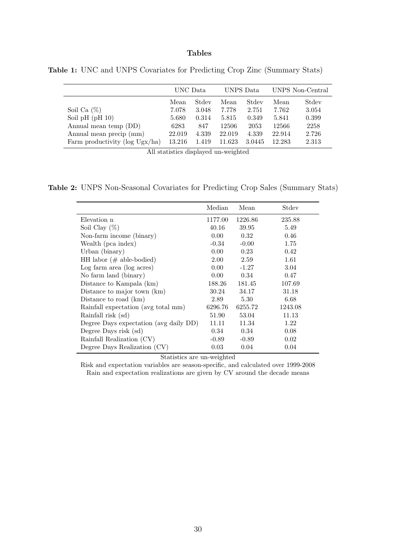#### Tables

|                                | UNC Data      |       | UNPS Data |        | UNPS Non-Central |       |
|--------------------------------|---------------|-------|-----------|--------|------------------|-------|
|                                | Stdev<br>Mean |       | Mean      | Stdev  | Mean             | Stdev |
| Soil Ca $(\%)$                 | 7.078         | 3.048 | 7.778     | 2.751  | 7.762            | 3.054 |
| Soil pH $(pH 10)$              | 5.680         | 0.314 | 5.815     | 0.349  | 5.841            | 0.399 |
| Annual mean temp (DD)          | 6283          | 847   | 12506     | 2053   | 12566            | 2258  |
| Annual mean precip (mm)        | 22.019        | 4.339 | 22.019    | 4.339  | 22.914           | 2.726 |
| Farm productivity (log Ugx/ha) | 13.216        | 1.419 | 11.623    | 3.0445 | 12.283           | 2.313 |

Table 1: UNC and UNPS Covariates for Predicting Crop Zinc (Summary Stats)

All statistics displayed un-weighted

Table 2: UNPS Non-Seasonal Covariates for Predicting Crop Sales (Summary Stats)

|                                        | Median            | Mean    | Stdev   |
|----------------------------------------|-------------------|---------|---------|
| Elevation n                            | 1177.00           | 1226.86 | 235.88  |
| Soil Clay $(\%)$                       | 40.16             | 39.95   | 5.49    |
| Non-farm income (binary)               | $0.00\,$          | 0.32    | 0.46    |
| Wealth (pca index)                     | $-0.34$           | $-0.00$ | 1.75    |
| Urban (binary)                         | 0.00 <sub>1</sub> | 0.23    | 0.42    |
| HH labor $(\# \text{ able-bodied})$    | 2.00              | 2.59    | 1.61    |
| Log farm area (log acres)              | 0.00 <sub>1</sub> | $-1.27$ | 3.04    |
| No farm land (binary)                  | $0.00^{\circ}$    | 0.34    | 0.47    |
| Distance to Kampala (km)               | 188.26            | 181.45  | 107.69  |
| Distance to major town (km)            | 30.24             | 34.17   | 31.18   |
| Distance to road (km)                  | 2.89              | 5.30    | 6.68    |
| Rainfall expectation (avg total mm)    | 6296.76           | 6255.72 | 1243.08 |
| Rainfall risk (sd)                     | 51.90             | 53.04   | 11.13   |
| Degree Days expectation (avg daily DD) | 11.11             | 11.34   | 1.22    |
| Degree Days risk (sd)                  | 0.34              | 0.34    | 0.08    |
| Rainfall Realization (CV)              | $-0.89$           | $-0.89$ | 0.02    |
| Degree Days Realization (CV)           | 0.03              | 0.04    | 0.04    |

Statistics are un-weighted

Risk and expectation variables are season-specific, and calculated over 1999-2008 Rain and expectation realizations are given by CV around the decade means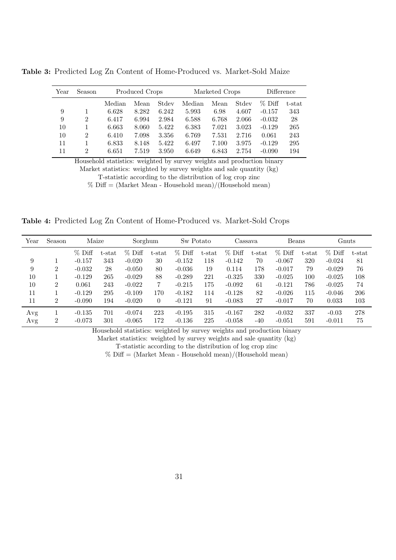| Year | Season         |        | Produced Crops |       |        | Marketed Crops | Difference |           |           |
|------|----------------|--------|----------------|-------|--------|----------------|------------|-----------|-----------|
|      |                | Median | Mean           | Stdev | Median | Mean           | Stdev      | $\%$ Diff | $t$ -stat |
| 9    |                | 6.628  | 8.282          | 6.242 | 5.993  | 6.98           | 4.607      | $-0.157$  | 343       |
| 9    | $\overline{2}$ | 6.417  | 6.994          | 2.984 | 6.588  | 6.768          | 2.066      | $-0.032$  | 28        |
| 10   | 1              | 6.663  | 8.060          | 5.422 | 6.383  | 7.021          | 3.023      | $-0.129$  | 265       |
| 10   | $\overline{2}$ | 6.410  | 7.098          | 3.356 | 6.769  | 7.531          | 2.716      | 0.061     | 243       |
| 11   | 1              | 6.833  | 8.148          | 5.422 | 6.497  | 7.100          | 3.975      | $-0.129$  | 295       |
| 11   | $\overline{2}$ | 6.651  | 7.519          | 3.950 | 6.649  | 6.843          | 2.754      | $-0.090$  | 194       |

Table 3: Predicted Log Zn Content of Home-Produced vs. Market-Sold Maize

Household statistics: weighted by survey weights and production binary Market statistics: weighted by survey weights and sale quantity (kg) T-statistic according to the distribution of log crop zinc

 $%$  Diff = (Market Mean - Household mean)/(Household mean)

Table 4: Predicted Log Zn Content of Home-Produced vs. Market-Sold Crops

| Year | Season         | Maize    |        | Sorghum  |                | Sw Potato |        | Cassava  |        | Beans    |           | Gnuts    |        |
|------|----------------|----------|--------|----------|----------------|-----------|--------|----------|--------|----------|-----------|----------|--------|
|      |                | $%$ Diff | t-stat | $%$ Diff | $t$ -stat      | $%$ Diff  | t-stat | $%$ Diff | t-stat | $%$ Diff | $t$ -stat | $%$ Diff | t-stat |
| 9    |                | $-0.157$ | 343    | $-0.020$ | 30             | $-0.152$  | 118    | $-0.142$ | 70     | $-0.067$ | 320       | $-0.024$ | 81     |
| 9    | $\overline{2}$ | $-0.032$ | 28     | $-0.050$ | 80             | $-0.036$  | 19     | 0.114    | 178    | $-0.017$ | 79        | $-0.029$ | 76     |
| 10   |                | $-0.129$ | 265    | $-0.029$ | 88             | $-0.289$  | 221    | $-0.325$ | 330    | $-0.025$ | 100       | $-0.025$ | 108    |
| 10   | $\overline{2}$ | 0.061    | 243    | $-0.022$ | $\overline{7}$ | $-0.215$  | 175    | $-0.092$ | 61     | $-0.121$ | 786       | $-0.025$ | 74     |
| 11   |                | $-0.129$ | 295    | $-0.109$ | 170            | $-0.182$  | 114    | $-0.128$ | 82     | $-0.026$ | 115       | $-0.046$ | 206    |
| 11   | $\overline{2}$ | $-0.090$ | 194    | $-0.020$ | $\theta$       | $-0.121$  | 91     | $-0.083$ | 27     | $-0.017$ | 70        | 0.033    | 103    |
| Avg  |                | $-0.135$ | 701    | $-0.074$ | 223            | $-0.195$  | 315    | $-0.167$ | 282    | $-0.032$ | 337       | $-0.03$  | 278    |
| Avg  | $\overline{2}$ | $-0.073$ | 301    | $-0.065$ | 172            | $-0.136$  | 225    | $-0.058$ | -40    | $-0.051$ | 591       | $-0.011$ | 75     |

Household statistics: weighted by survey weights and production binary

Market statistics: weighted by survey weights and sale quantity (kg)

T-statistic according to the distribution of log crop zinc

 $%$  Diff = (Market Mean - Household mean)/(Household mean)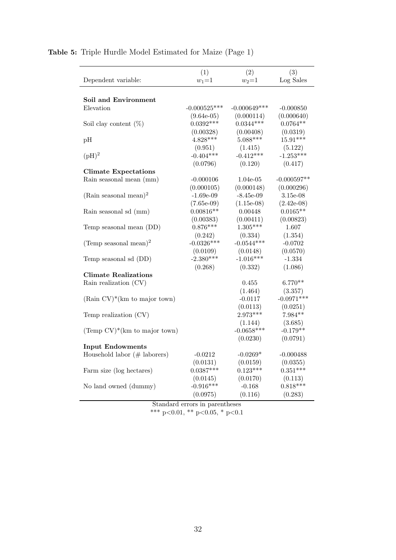|                                            | (1)            | (2)            | (3)             |
|--------------------------------------------|----------------|----------------|-----------------|
| Dependent variable:                        | $w_1 = 1$      | $w_2 = 1$      | $\rm Log$ Sales |
|                                            |                |                |                 |
| Soil and Environment                       |                |                |                 |
| Elevation                                  | $-0.000525***$ | $-0.000649***$ | $-0.000850$     |
|                                            | $(9.64e-05)$   | (0.000114)     | (0.000640)      |
| Soil clay content $(\%)$                   | $0.0392***$    | $0.0344***$    | $0.0764**$      |
|                                            | (0.00328)      | (0.00408)      | (0.0319)        |
| pH                                         | $4.828***$     | $5.088***$     | $15.91***$      |
|                                            | (0.951)        | (1.415)        | (5.122)         |
| $(pH)^2$                                   | $-0.404***$    | $-0.412***$    | $-1.253***$     |
|                                            | (0.0796)       | (0.120)        | (0.417)         |
| <b>Climate Expectations</b>                |                |                |                 |
| Rain seasonal mean (mm)                    | $-0.000106$    | 1.04e-05       | $-0.000597**$   |
|                                            | (0.000105)     | (0.000148)     | (0.000296)      |
| (Rain seasonal mean) <sup>2</sup>          | $-1.69e-09$    | $-8.45e-09$    | 3.15e-08        |
|                                            | $(7.65e-09)$   | $(1.15e-08)$   | $(2.42e-08)$    |
| Rain seasonal sd (mm)                      | $0.00816**$    | 0.00448        | $0.0165**$      |
|                                            | (0.00383)      | (0.00411)      | (0.00823)       |
| Temp seasonal mean (DD)                    | $0.876***$     | $1.305***$     | 1.607           |
|                                            | (0.242)        | (0.334)        | (1.354)         |
| (Temp seasonal mean) <sup>2</sup>          | $-0.0326***$   | $-0.0544***$   | $-0.0702$       |
|                                            | (0.0109)       | (0.0148)       | (0.0570)        |
| Temp seasonal sd (DD)                      | $-2.380***$    | $-1.016***$    | $-1.334$        |
|                                            | (0.268)        | (0.332)        | (1.086)         |
| <b>Climate Realizations</b>                |                |                |                 |
| Rain realization (CV)                      |                | 0.455          | $6.770**$       |
|                                            |                | (1.464)        | (3.357)         |
| $(Rain CV)*(km to major town)$             |                | $-0.0117$      | $-0.0971***$    |
|                                            |                | (0.0113)       | (0.0251)        |
| Temp realization (CV)                      |                | $2.973***$     | 7.984**         |
|                                            |                | (1.144)        | (3.685)         |
| (Temp $CV$ <sup>*</sup> (km to major town) |                | $-0.0658***$   | $-0.179**$      |
|                                            |                | (0.0230)       | (0.0791)        |
| <b>Input Endowments</b>                    |                |                |                 |
| Household labor $(\# \text{ laborers})$    | $-0.0212$      | $-0.0269*$     | $-0.000488$     |
|                                            | (0.0131)       | (0.0159)       | (0.0355)        |
| Farm size (log hectares)                   | $0.0387***$    | $0.123***$     | $0.351***$      |
|                                            | (0.0145)       | (0.0170)       | (0.113)         |
| No land owned (dummy)                      | $-0.916***$    | $-0.168$       | $0.818***$      |
|                                            | (0.0975)       | (0.116)        | (0.283)         |
|                                            |                |                |                 |

#### Table 5: Triple Hurdle Model Estimated for Maize (Page 1)

Standard errors in parentheses \*\*\* p<0.01, \*\* p<0.05, \* p<0.1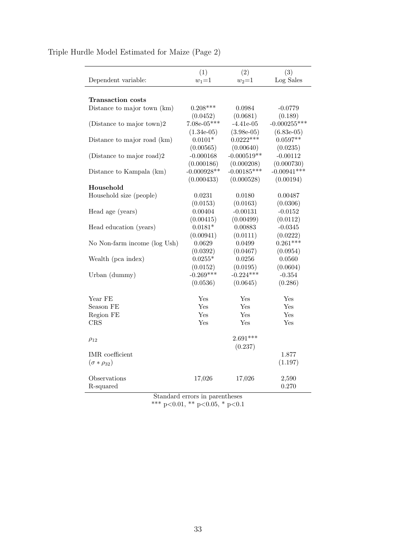| Dependent variable:          | (1)<br>$w_1 = 1$ | (2)<br>$w_2 = 1$ | (3)<br>Log Sales |
|------------------------------|------------------|------------------|------------------|
|                              |                  |                  |                  |
| Transaction costs            |                  |                  |                  |
| Distance to major town (km)  | $0.208***$       | 0.0984           | -0.0779          |
|                              | (0.0452)         | (0.0681)         | (0.189)          |
| (Distance to major town)2    | $7.08e-05***$    | $-4.41e-05$      | $-0.000255***$   |
|                              | $(1.34e-05)$     | $(3.98e-05)$     | $(6.83e-05)$     |
| Distance to major road (km)  | $0.0101*$        | $0.0222***$      | $0.0597**$       |
|                              | (0.00565)        | (0.00640)        | (0.0235)         |
| (Distance to major road)2    | $-0.000168$      | $-0.000519**$    | $-0.00112$       |
|                              | (0.000186)       | (0.000208)       | (0.000730)       |
| Distance to Kampala (km)     | $-0.000928**$    | $-0.00185***$    | $-0.00941***$    |
|                              | (0.000433)       | (0.000528)       | (0.00194)        |
| Household                    |                  |                  |                  |
| Household size (people)      | 0.0231           | 0.0180           | 0.00487          |
|                              | (0.0153)         | (0.0163)         | (0.0306)         |
| Head age (years)             | 0.00404          | $-0.00131$       | $-0.0152$        |
|                              | (0.00415)        | (0.00499)        | (0.0112)         |
| Head education (years)       | $0.0181*$        | 0.00883          | $-0.0345$        |
|                              | (0.00941)        | (0.0111)         | (0.0222)         |
| No Non-farm income (log Ush) | 0.0629           | 0.0499           | $0.261***$       |
|                              | (0.0392)         | (0.0467)         | (0.0954)         |
| Wealth (pca index)           | $0.0255*$        | 0.0256           | 0.0560           |
|                              | (0.0152)         | (0.0195)         | (0.0604)         |
| Urban (dummy)                | $-0.269***$      | $-0.224***$      | $-0.354$         |
|                              | (0.0536)         | (0.0645)         | (0.286)          |
| Year FE                      | Yes              | Yes              | Yes              |
| Season FE                    | Yes              | Yes              | Yes              |
| Region FE                    | Yes              | Yes              | Yes              |
| CRS                          | Yes              | Yes              | Yes              |
|                              |                  |                  |                  |
| $\rho_{12}$                  |                  | $2.691***$       |                  |
|                              |                  | (0.237)          |                  |
| <b>IMR</b> coefficient       |                  |                  | 1.877            |
| $(\sigma * \rho_{32})$       |                  |                  | (1.197)          |
| Observations                 | 17,026           | 17,026           | 2,590            |
| R-squared                    |                  |                  | 0.270            |
|                              |                  |                  |                  |

### Triple Hurdle Model Estimated for Maize (Page 2)

Standard errors in parentheses \*\*\* p<0.01, \*\* p<0.05, \* p<0.1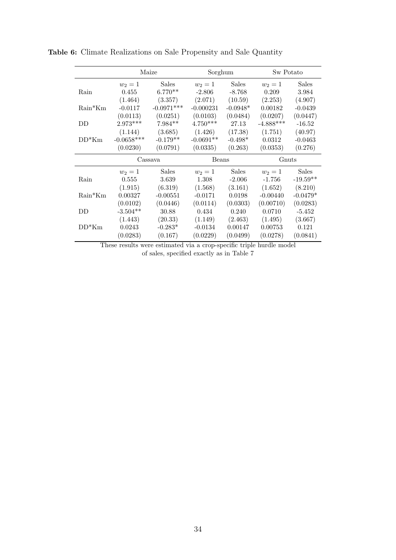|           | Maize        |              |             | Sorghum      |             | Sw Potato    |
|-----------|--------------|--------------|-------------|--------------|-------------|--------------|
|           | $w_2=1$      | <b>Sales</b> | $w_2 = 1$   | <b>Sales</b> | $w_2 = 1$   | <b>Sales</b> |
| Rain      | 0.455        | $6.770**$    | $-2.806$    | $-8.768$     | 0.209       | 3.984        |
|           | (1.464)      | (3.357)      | (2.071)     | (10.59)      | (2.253)     | (4.907)      |
| $Rain*Km$ | $-0.0117$    | $-0.0971***$ | $-0.000231$ | $-0.0948*$   | 0.00182     | $-0.0439$    |
|           | (0.0113)     | (0.0251)     | (0.0103)    | (0.0484)     | (0.0207)    | (0.0447)     |
| DD        | $2.973***$   | 7.984**      | $4.750***$  | 27.13        | $-4.888***$ | $-16.52$     |
|           | (1.144)      | (3.685)      | (1.426)     | (17.38)      | (1.751)     | (40.97)      |
| $DD*Km$   | $-0.0658***$ | $-0.179**$   | $-0.0691**$ | $-0.498*$    | 0.0312      | $-0.0463$    |
|           | (0.0230)     | (0.0791)     | (0.0335)    | (0.263)      | (0.0353)    | (0.276)      |
|           |              | Cassava      | Beans       |              | Gnuts       |              |
|           | $w_2 = 1$    | Sales        | $w_2 = 1$   | <b>Sales</b> | $w_2=1$     | Sales        |
| Rain      | 0.555        | 3.639        | 1.308       | $-2.006$     | $-1.756$    | $-19.59**$   |
|           | (1.915)      | (6.319)      | (1.568)     | (3.161)      | (1.652)     | (8.210)      |
| $Rain*Km$ | 0.00327      | $-0.00551$   | $-0.0171$   | 0.0198       | $-0.00440$  | $-0.0479*$   |
|           | (0.0102)     | (0.0446)     | (0.0114)    | (0.0303)     | (0.00710)   | (0.0283)     |
| DD        | $-3.504**$   | 30.88        | 0.434       | 0.240        | 0.0710      | $-5.452$     |
|           | (1.443)      | (20.33)      | (1.149)     | (2.463)      | (1.495)     | (3.667)      |
| $DD*Km$   | 0.0243       | $-0.283*$    | $-0.0134$   | 0.00147      | 0.00753     | 0.121        |
|           | (0.0283)     | (0.167)      | (0.0229)    | (0.0499)     | (0.0278)    | (0.0841)     |
|           |              |              |             |              |             |              |

Table 6: Climate Realizations on Sale Propensity and Sale Quantity

These results were estimated via a crop-specific triple hurdle model of sales, specified exactly as in Table 7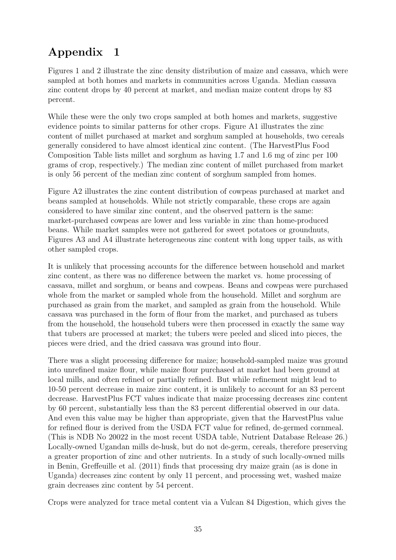# Appendix 1

Figures 1 and 2 illustrate the zinc density distribution of maize and cassava, which were sampled at both homes and markets in communities across Uganda. Median cassava zinc content drops by 40 percent at market, and median maize content drops by 83 percent.

While these were the only two crops sampled at both homes and markets, suggestive evidence points to similar patterns for other crops. Figure A1 illustrates the zinc content of millet purchased at market and sorghum sampled at households, two cereals generally considered to have almost identical zinc content. (The HarvestPlus Food Composition Table lists millet and sorghum as having 1.7 and 1.6 mg of zinc per 100 grams of crop, respectively.) The median zinc content of millet purchased from market is only 56 percent of the median zinc content of sorghum sampled from homes.

Figure A2 illustrates the zinc content distribution of cowpeas purchased at market and beans sampled at households. While not strictly comparable, these crops are again considered to have similar zinc content, and the observed pattern is the same: market-purchased cowpeas are lower and less variable in zinc than home-produced beans. While market samples were not gathered for sweet potatoes or groundnuts, Figures A3 and A4 illustrate heterogeneous zinc content with long upper tails, as with other sampled crops.

It is unlikely that processing accounts for the difference between household and market zinc content, as there was no difference between the market vs. home processing of cassava, millet and sorghum, or beans and cowpeas. Beans and cowpeas were purchased whole from the market or sampled whole from the household. Millet and sorghum are purchased as grain from the market, and sampled as grain from the household. While cassava was purchased in the form of flour from the market, and purchased as tubers from the household, the household tubers were then processed in exactly the same way that tubers are processed at market; the tubers were peeled and sliced into pieces, the pieces were dried, and the dried cassava was ground into flour.

There was a slight processing difference for maize; household-sampled maize was ground into unrefined maize flour, while maize flour purchased at market had been ground at local mills, and often refined or partially refined. But while refinement might lead to 10-50 percent decrease in maize zinc content, it is unlikely to account for an 83 percent decrease. HarvestPlus FCT values indicate that maize processing decreases zinc content by 60 percent, substantially less than the 83 percent differential observed in our data. And even this value may be higher than appropriate, given that the HarvestPlus value for refined flour is derived from the USDA FCT value for refined, de-germed cornmeal. (This is NDB No 20022 in the most recent USDA table, Nutrient Database Release 26.) Locally-owned Ugandan mills de-husk, but do not de-germ, cereals, therefore preserving a greater proportion of zinc and other nutrients. In a study of such locally-owned mills in Benin, Greffeuille et al. (2011) finds that processing dry maize grain (as is done in Uganda) decreases zinc content by only 11 percent, and processing wet, washed maize grain decreases zinc content by 54 percent.

Crops were analyzed for trace metal content via a Vulcan 84 Digestion, which gives the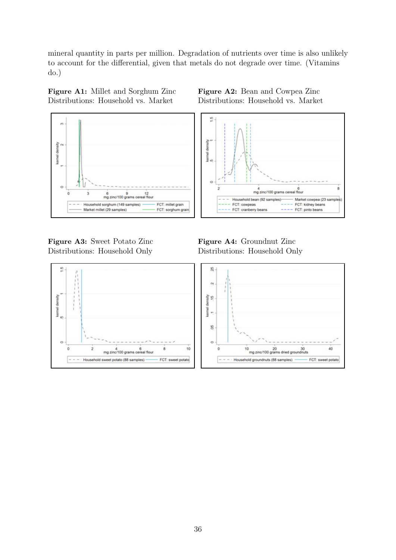mineral quantity in parts per million. Degradation of nutrients over time is also unlikely to account for the differential, given that metals do not degrade over time. (Vitamins do.)

Figure A1: Millet and Sorghum Zinc Figure A2: Bean and Cowpea Zinc Distributions: Household vs. Market Distributions: Household vs. Market





Figure A3: Sweet Potato Zinc Figure A4: Groundnut Zinc Distributions: Household Only Distributions: Household Only

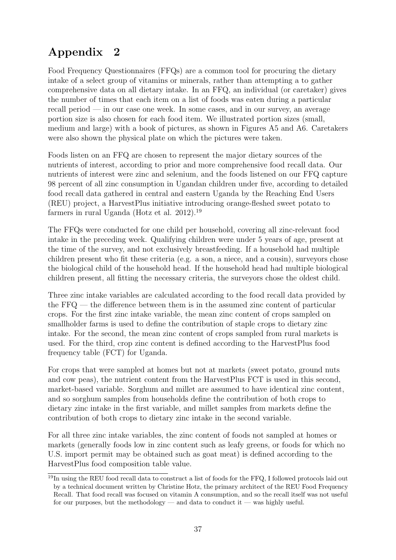# Appendix 2

Food Frequency Questionnaires (FFQs) are a common tool for procuring the dietary intake of a select group of vitamins or minerals, rather than attempting a to gather comprehensive data on all dietary intake. In an FFQ, an individual (or caretaker) gives the number of times that each item on a list of foods was eaten during a particular recall period — in our case one week. In some cases, and in our survey, an average portion size is also chosen for each food item. We illustrated portion sizes (small, medium and large) with a book of pictures, as shown in Figures A5 and A6. Caretakers were also shown the physical plate on which the pictures were taken.

Foods listen on an FFQ are chosen to represent the major dietary sources of the nutrients of interest, according to prior and more comprehensive food recall data. Our nutrients of interest were zinc and selenium, and the foods listened on our FFQ capture 98 percent of all zinc consumption in Ugandan children under five, according to detailed food recall data gathered in central and eastern Uganda by the Reaching End Users (REU) project, a HarvestPlus initiative introducing orange-fleshed sweet potato to farmers in rural Uganda (Hotz et al. 2012).<sup>19</sup>

The FFQs were conducted for one child per household, covering all zinc-relevant food intake in the preceding week. Qualifying children were under 5 years of age, present at the time of the survey, and not exclusively breastfeeding. If a household had multiple children present who fit these criteria (e.g. a son, a niece, and a cousin), surveyors chose the biological child of the household head. If the household head had multiple biological children present, all fitting the necessary criteria, the surveyors chose the oldest child.

Three zinc intake variables are calculated according to the food recall data provided by the FFQ — the difference between them is in the assumed zinc content of particular crops. For the first zinc intake variable, the mean zinc content of crops sampled on smallholder farms is used to define the contribution of staple crops to dietary zinc intake. For the second, the mean zinc content of crops sampled from rural markets is used. For the third, crop zinc content is defined according to the HarvestPlus food frequency table (FCT) for Uganda.

For crops that were sampled at homes but not at markets (sweet potato, ground nuts and cow peas), the nutrient content from the HarvestPlus FCT is used in this second, market-based variable. Sorghum and millet are assumed to have identical zinc content, and so sorghum samples from households define the contribution of both crops to dietary zinc intake in the first variable, and millet samples from markets define the contribution of both crops to dietary zinc intake in the second variable.

For all three zinc intake variables, the zinc content of foods not sampled at homes or markets (generally foods low in zinc content such as leafy greens, or foods for which no U.S. import permit may be obtained such as goat meat) is defined according to the HarvestPlus food composition table value.

<sup>&</sup>lt;sup>19</sup>In using the REU food recall data to construct a list of foods for the FFQ, I followed protocols laid out by a technical document written by Christine Hotz, the primary architect of the REU Food Frequency Recall. That food recall was focused on vitamin A consumption, and so the recall itself was not useful for our purposes, but the methodology — and data to conduct it — was highly useful.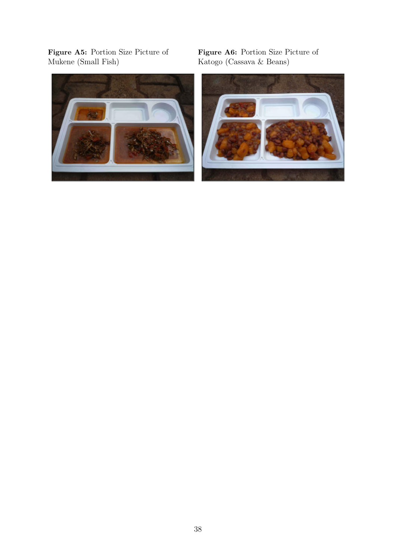Figure A5: Portion Size Picture of Figure A6: Portion Size Picture of Mukene (Small Fish) Katogo (Cassava & Beans)



Katogo (Cassava & Beans)

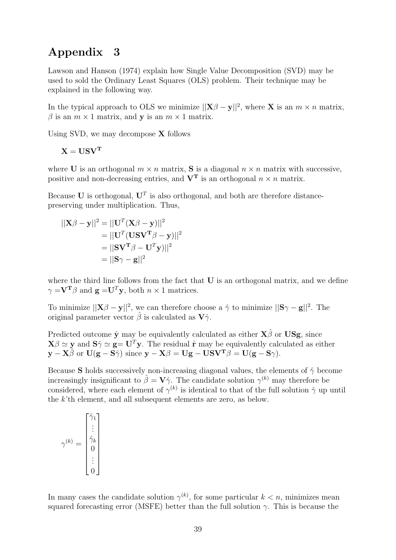### Appendix 3

Lawson and Hanson (1974) explain how Single Value Decomposition (SVD) may be used to sold the Ordinary Least Squares (OLS) problem. Their technique may be explained in the following way.

In the typical approach to OLS we minimize  $||\mathbf{X}\beta - \mathbf{y}||^2$ , where **X** is an  $m \times n$  matrix,  $\beta$  is an  $m \times 1$  matrix, and y is an  $m \times 1$  matrix.

Using SVD, we may decompose X follows

$$
\mathbf{X} = \mathbf{U}\mathbf{S}\mathbf{V}^{\mathbf{T}}
$$

where U is an orthogonal  $m \times n$  matrix, S is a diagonal  $n \times n$  matrix with successive, positive and non-decreasing entries, and  $V<sup>T</sup>$  is an orthogonal  $n \times n$  matrix.

Because U is orthogonal,  $U^T$  is also orthogonal, and both are therefore distancepreserving under multiplication. Thus,

$$
||\mathbf{X}\beta - \mathbf{y}||^2 = ||\mathbf{U}^T(\mathbf{X}\beta - \mathbf{y})||^2
$$
  
= 
$$
||\mathbf{U}^T(\mathbf{U}\mathbf{S}\mathbf{V}^T\beta - \mathbf{y})||^2
$$
  
= 
$$
||\mathbf{S}\mathbf{V}^T\beta - \mathbf{U}^T\mathbf{y})||^2
$$
  
= 
$$
||\mathbf{S}\gamma - \mathbf{g}||^2
$$

where the third line follows from the fact that **U** is an orthogonal matrix, and we define  $\gamma = V^{\mathbf{T}} \beta$  and  $\mathbf{g} = U^T \mathbf{y}$ , both  $n \times 1$  matrices.

To minimize  $||\mathbf{X}\beta - \mathbf{y}||^2$ , we can therefore choose a  $\hat{\gamma}$  to minimize  $||\mathbf{S}\gamma - \mathbf{g}||^2$ . The original parameter vector  $\hat{\beta}$  is calculated as  $\mathbf{V}\hat{\gamma}$ .

Predicted outcome  $\hat{\mathbf{y}}$  may be equivalently calculated as either  $\mathbf{X}\hat{\boldsymbol{\beta}}$  or  $\mathbf{USg}$ , since  $\mathbf{X}\beta \simeq \mathbf{y}$  and  $\mathbf{S}\hat{\gamma} \simeq \mathbf{g} = \mathbf{U}^T\mathbf{y}$ . The residual  $\hat{\mathbf{r}}$  may be equivalently calculated as either  $y - X\hat{\beta}$  or  $U(g - S\hat{\gamma})$  since  $y - X\beta = U(g - USV^{T}\beta = U(g - S\gamma)$ .

Because S holds successively non-increasing diagonal values, the elements of  $\hat{\gamma}$  become increasingly insignificant to  $\hat{\beta} = V\hat{\gamma}$ . The candidate solution  $\gamma^{(k)}$  may therefore be considered, where each element of  $\gamma^{(k)}$  is identical to that of the full solution  $\hat{\gamma}$  up until the  $k$ <sup>th</sup> element, and all subsequent elements are zero, as below.

$$
\gamma^{(k)} = \begin{bmatrix} \hat{\gamma}_1 \\ \vdots \\ \hat{\gamma}_k \\ 0 \\ \vdots \\ 0 \end{bmatrix}
$$

In many cases the candidate solution  $\gamma^{(k)}$ , for some particular  $k < n$ , minimizes mean squared forecasting error (MSFE) better than the full solution  $\gamma$ . This is because the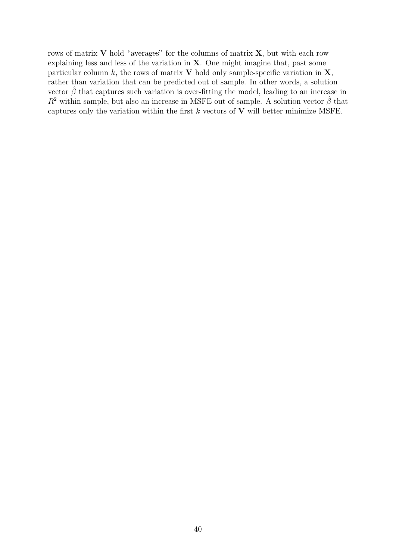rows of matrix  $V$  hold "averages" for the columns of matrix  $X$ , but with each row explaining less and less of the variation in X. One might imagine that, past some particular column  $k$ , the rows of matrix V hold only sample-specific variation in  $X$ , rather than variation that can be predicted out of sample. In other words, a solution vector  $\hat{\beta}$  that captures such variation is over-fitting the model, leading to an increase in  $R^2$  within sample, but also an increase in MSFE out of sample. A solution vector  $\hat{\beta}$  that captures only the variation within the first  $k$  vectors of  $V$  will better minimize MSFE.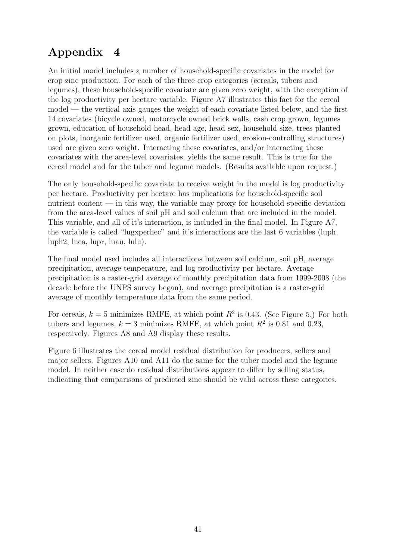# Appendix 4

An initial model includes a number of household-specific covariates in the model for crop zinc production. For each of the three crop categories (cereals, tubers and legumes), these household-specific covariate are given zero weight, with the exception of the log productivity per hectare variable. Figure A7 illustrates this fact for the cereal model — the vertical axis gauges the weight of each covariate listed below, and the first 14 covariates (bicycle owned, motorcycle owned brick walls, cash crop grown, legumes grown, education of household head, head age, head sex, household size, trees planted on plots, inorganic fertilizer used, organic fertilizer used, erosion-controlling structures) used are given zero weight. Interacting these covariates, and/or interacting these covariates with the area-level covariates, yields the same result. This is true for the cereal model and for the tuber and legume models. (Results available upon request.)

The only household-specific covariate to receive weight in the model is log productivity per hectare. Productivity per hectare has implications for household-specific soil nutrient content — in this way, the variable may proxy for household-specific deviation from the area-level values of soil pH and soil calcium that are included in the model. This variable, and all of it's interaction, is included in the final model. In Figure A7, the variable is called "lugxperhec" and it's interactions are the last 6 variables (luph, luph2, luca, lupr, luau, lulu).

The final model used includes all interactions between soil calcium, soil pH, average precipitation, average temperature, and log productivity per hectare. Average precipitation is a raster-grid average of monthly precipitation data from 1999-2008 (the decade before the UNPS survey began), and average precipitation is a raster-grid average of monthly temperature data from the same period.

For cereals,  $k = 5$  minimizes RMFE, at which point  $R^2$  is 0.43. (See Figure 5.) For both tubers and legumes,  $k = 3$  minimizes RMFE, at which point  $R^2$  is 0.81 and 0.23, respectively. Figures A8 and A9 display these results.

Figure 6 illustrates the cereal model residual distribution for producers, sellers and major sellers. Figures A10 and A11 do the same for the tuber model and the legume model. In neither case do residual distributions appear to differ by selling status, indicating that comparisons of predicted zinc should be valid across these categories.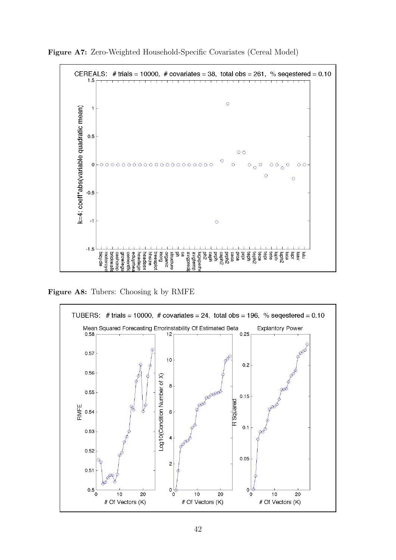

Figure A7: Zero-Weighted Household-Specific Covariates (Cereal Model)

Figure A8: Tubers: Choosing k by RMFE

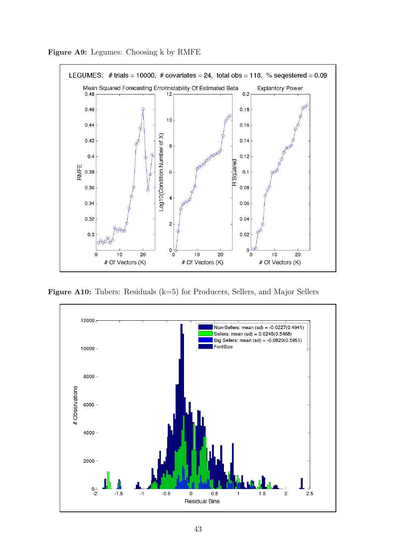

Figure A9: Legumes: Choosing k by RMFE

Figure A10: Tubers: Residuals (k=5) for Producers, Sellers, and Major Sellers